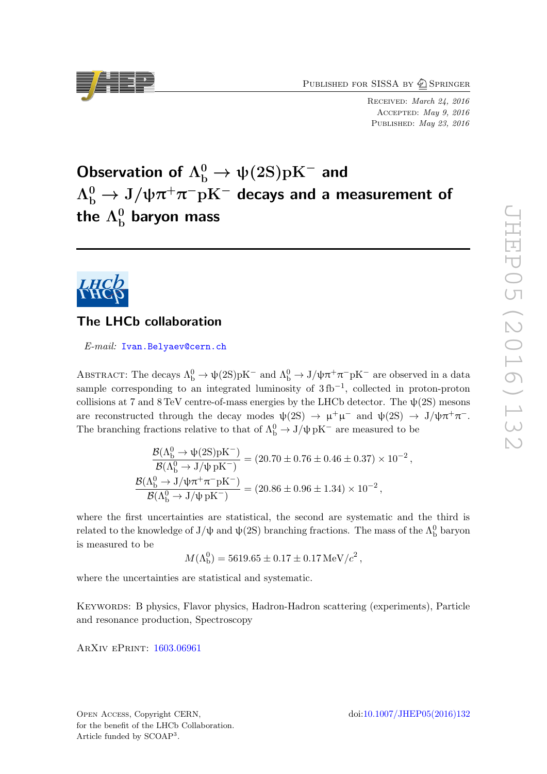PUBLISHED FOR SISSA BY 2 SPRINGER

Received: March 24, 2016 Accepted: May 9, 2016 PUBLISHED: May 23, 2016

# Observation of  $\Lambda^0_\mathrm{b}\to \psi(2\mathrm{S})\mathrm{p}\mathrm{K}^-$  and  $\Lambda_{\rm b}^0 \rightarrow {\rm J}/\psi \pi^+ \pi^- {\rm pK}^-$  decays and a measurement of the  $\Lambda^0_{\rm b}$  baryon mass



# The LHCb collaboration

E-mail: [Ivan.Belyaev@cern.ch](mailto:Ivan.Belyaev@cern.ch)

ABSTRACT: The decays  $\Lambda_b^0 \to \psi(2S)pK^-$  and  $\Lambda_b^0 \to J/\psi \pi^+ \pi^- pK^-$  are observed in a data sample corresponding to an integrated luminosity of  $3 \text{ fb}^{-1}$ , collected in proton-proton collisions at 7 and 8 TeV centre-of-mass energies by the LHCb detector. The  $\psi(2S)$  mesons are reconstructed through the decay modes  $\psi(2S) \to \mu^+\mu^-$  and  $\psi(2S) \to J/\psi\pi^+\pi^-$ . The branching fractions relative to that of  $\Lambda_b^0 \to J/\psi \, pK^-$  are measured to be

$$
\frac{{\cal B}(\Lambda^0_b\to \psi(2{\rm S}){\rm pK^-})}{{\cal B}(\Lambda^0_b\to J/\psi\, {\rm pK^-})}=(20.70\pm0.76\pm0.46\pm0.37)\times 10^{-2}\,,\\[2mm] \frac{{\cal B}(\Lambda^0_b\to J/\psi\pi^+\pi^-{\rm pK^-})}{{\cal B}(\Lambda^0_b\to J/\psi\, {\rm pK^-})}=(20.86\pm0.96\pm1.34)\times 10^{-2}\,,
$$

where the first uncertainties are statistical, the second are systematic and the third is related to the knowledge of J/ $\psi$  and  $\psi(2S)$  branching fractions. The mass of the  $\Lambda_b^0$  baryon is measured to be

$$
M(\Lambda_{\rm b}^0) = 5619.65 \pm 0.17 \pm 0.17 \,\text{MeV}/c^2 \,,
$$

where the uncertainties are statistical and systematic.

Keywords: B physics, Flavor physics, Hadron-Hadron scattering (experiments), Particle and resonance production, Spectroscopy

ArXiv ePrint: [1603.06961](http://arxiv.org/abs/1603.06961)

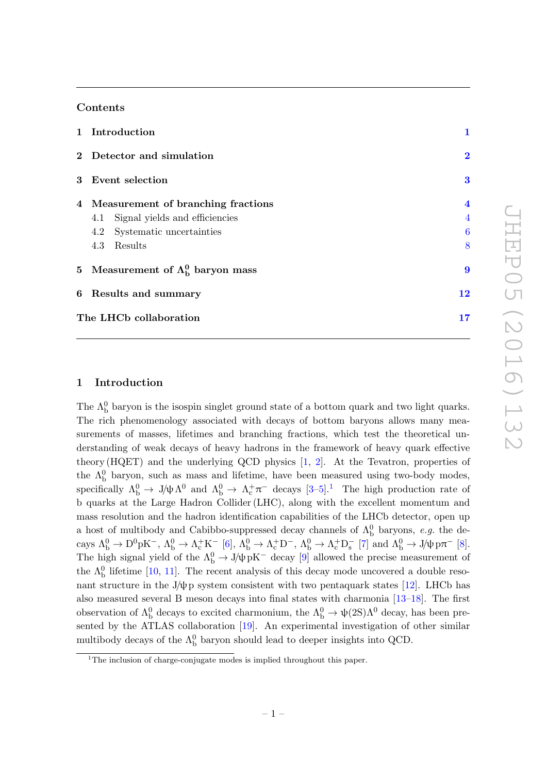# Contents

| 1 Introduction                             |                         |  |
|--------------------------------------------|-------------------------|--|
| 2 Detector and simulation                  | $\bf{2}$                |  |
| 3 Event selection                          | $\bf{3}$                |  |
| 4 Measurement of branching fractions       | $\overline{\mathbf{4}}$ |  |
| Signal yields and efficiencies<br>4.1      | $\overline{4}$          |  |
| Systematic uncertainties<br>4.2            | 6                       |  |
| Results<br>4.3                             | 8                       |  |
| 5 Measurement of $\Lambda_b^0$ baryon mass | 9                       |  |
| 6 Results and summary                      | 12                      |  |
| The LHCb collaboration                     | 17                      |  |

# <span id="page-1-0"></span>1 Introduction

The  $\Lambda_{\rm b}^0$  baryon is the isospin singlet ground state of a bottom quark and two light quarks. The rich phenomenology associated with decays of bottom baryons allows many measurements of masses, lifetimes and branching fractions, which test the theoretical understanding of weak decays of heavy hadrons in the framework of heavy quark effective theory (HQET) and the underlying QCD physics [\[1,](#page-13-0) [2\]](#page-13-1). At the Tevatron, properties of the  $\Lambda_b^0$  baryon, such as mass and lifetime, have been measured using two-body modes, specifically  $\Lambda_b^0 \to J/\psi \Lambda^0$  and  $\Lambda_b^0 \to \Lambda_c^+ \pi^-$  decays  $[3-5]$  $[3-5]$ .<sup>[1](#page-1-1)</sup> The high production rate of b quarks at the Large Hadron Collider (LHC), along with the excellent momentum and mass resolution and the hadron identification capabilities of the LHCb detector, open up a host of multibody and Cabibbo-suppressed decay channels of  $\Lambda_b^0$  baryons, e.g. the decays  $\Lambda_b^0 \to D^0 p K^-$ ,  $\Lambda_b^0 \to \Lambda_c^+ K^-$  [\[6\]](#page-13-4),  $\Lambda_b^0 \to \Lambda_c^+ D^-$ ,  $\Lambda_b^0 \to \Lambda_c^+ D_s^-$  [\[7\]](#page-13-5) and  $\Lambda_b^0 \to J/\psi p \pi^-$  [\[8\]](#page-13-6). The high signal yield of the  $\Lambda_b^0 \to J/\psi \, pK^-$  decay [\[9\]](#page-14-0) allowed the precise measurement of the  $\Lambda_b^0$  lifetime [\[10,](#page-14-1) [11\]](#page-14-2). The recent analysis of this decay mode uncovered a double resonant structure in the J/ $\psi$ p system consistent with two pentaquark states [\[12\]](#page-14-3). LHCb has also measured several B meson decays into final states with charmonia [\[13](#page-14-4)[–18\]](#page-14-5). The first observation of  $\Lambda_b^0$  decays to excited charmonium, the  $\Lambda_b^0 \to \psi(2S)\Lambda^0$  decay, has been presented by the ATLAS collaboration [\[19\]](#page-14-6). An experimental investigation of other similar multibody decays of the  $\Lambda_b^0$  baryon should lead to deeper insights into QCD.

<span id="page-1-1"></span><sup>&</sup>lt;sup>1</sup>The inclusion of charge-conjugate modes is implied throughout this paper.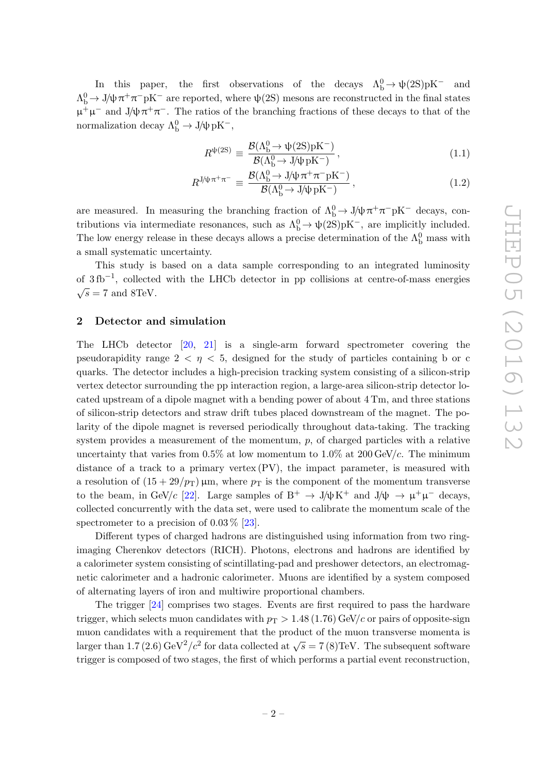In this paper, the first observations of the decays  $\Lambda_b^0 \to \psi(2S)pK^-$  and  $Λ<sup>0</sup><sub>b</sub>$  → J/ψ π<sup>+</sup>π<sup>-</sup>pK<sup>-</sup> are reported, where ψ(2S) mesons are reconstructed in the final states  $\mu^+\mu^-$  and J/ $\psi \pi^+\pi^-$ . The ratios of the branching fractions of these decays to that of the normalization decay  $\Lambda_b^0 \to J/\psi \, pK^-$ ,

<span id="page-2-1"></span>
$$
R^{\psi(2S)} \equiv \frac{\mathcal{B}(\Lambda_b^0 \to \psi(2S)pK^-)}{\mathcal{B}(\Lambda_b^0 \to J/\psi pK^-)},
$$
\n(1.1)

$$
R^{\mathrm{J/\psi}\,\pi^{+}\pi^{-}} \equiv \frac{\mathcal{B}(\Lambda_{\mathrm{b}}^{0} \to \mathrm{J/\psi}\,\pi^{+}\pi^{-}\mathrm{pK}^{-})}{\mathcal{B}(\Lambda_{\mathrm{b}}^{0} \to \mathrm{J/\psi}\,\mathrm{pK}^{-})},\tag{1.2}
$$

are measured. In measuring the branching fraction of  $\Lambda_b^0 \to J/\psi \pi^+ \pi^- pK^-$  decays, contributions via intermediate resonances, such as  $\Lambda_b^0 \to \psi(2S)pK^-$ , are implicitly included. The low energy release in these decays allows a precise determination of the  $\Lambda_b^0$  mass with a small systematic uncertainty.

This study is based on a data sample corresponding to an integrated luminosity of 3fb<sup>-1</sup>, collected with the LHCb detector in pp collisions at centre-of-mass energies  $\sqrt{s} = 7$  and 8TeV.

# <span id="page-2-0"></span>2 Detector and simulation

The LHCb detector [\[20,](#page-14-7) [21\]](#page-14-8) is a single-arm forward spectrometer covering the pseudorapidity range  $2 < \eta < 5$ , designed for the study of particles containing b or c quarks. The detector includes a high-precision tracking system consisting of a silicon-strip vertex detector surrounding the pp interaction region, a large-area silicon-strip detector located upstream of a dipole magnet with a bending power of about 4 Tm, and three stations of silicon-strip detectors and straw drift tubes placed downstream of the magnet. The polarity of the dipole magnet is reversed periodically throughout data-taking. The tracking system provides a measurement of the momentum,  $p$ , of charged particles with a relative uncertainty that varies from  $0.5\%$  at low momentum to  $1.0\%$  at  $200 \text{ GeV}/c$ . The minimum distance of a track to a primary vertex (PV), the impact parameter, is measured with a resolution of  $(15 + 29/p_T)$  µm, where  $p_T$  is the component of the momentum transverse to the beam, in GeV/c [\[22\]](#page-14-9). Large samples of  $B^+ \to J/\psi K^+$  and  $J/\psi \to \mu^+\mu^-$  decays, collected concurrently with the data set, were used to calibrate the momentum scale of the spectrometer to a precision of  $0.03\%$  [\[23\]](#page-14-10).

Different types of charged hadrons are distinguished using information from two ringimaging Cherenkov detectors (RICH). Photons, electrons and hadrons are identified by a calorimeter system consisting of scintillating-pad and preshower detectors, an electromagnetic calorimeter and a hadronic calorimeter. Muons are identified by a system composed of alternating layers of iron and multiwire proportional chambers.

The trigger [\[24\]](#page-14-11) comprises two stages. Events are first required to pass the hardware trigger, which selects muon candidates with  $p_T > 1.48 (1.76) \text{ GeV}/c$  or pairs of opposite-sign muon candidates with a requirement that the product of the muon transverse momenta is larger than 1.7 (2.6) GeV<sup>2</sup>/ $c^2$  for data collected at  $\sqrt{s} = 7(8)$  TeV. The subsequent software trigger is composed of two stages, the first of which performs a partial event reconstruction,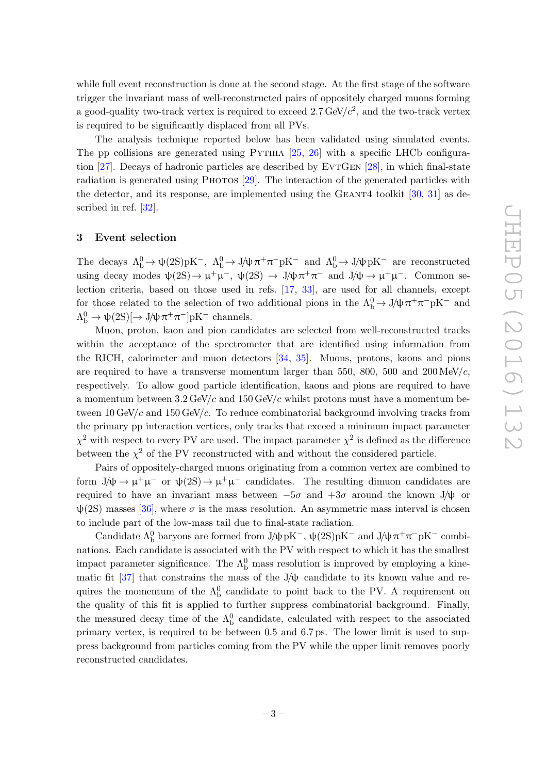while full event reconstruction is done at the second stage. At the first stage of the software trigger the invariant mass of well-reconstructed pairs of oppositely charged muons forming a good-quality two-track vertex is required to exceed  $2.7 \text{ GeV}/c^2$ , and the two-track vertex is required to be significantly displaced from all PVs.

The analysis technique reported below has been validated using simulated events. The pp collisions are generated using  $PYTHIA$  [\[25,](#page-14-12) [26\]](#page-14-13) with a specific LHCb configura-tion [\[27\]](#page-14-14). Decays of hadronic particles are described by EVTGEN [\[28\]](#page-15-0), in which final-state radiation is generated using Photos [\[29\]](#page-15-1). The interaction of the generated particles with the detector, and its response, are implemented using the GEANT4 toolkit  $[30, 31]$  $[30, 31]$  as de-scribed in ref. [\[32\]](#page-15-4).

# <span id="page-3-0"></span>3 Event selection

The decays  $\Lambda_b^0 \to \psi(2S)pK^-$ ,  $\Lambda_b^0 \to J/\psi \pi^+ \pi^- pK^-$  and  $\Lambda_b^0 \to J/\psi pK^-$  are reconstructed using decay modes  $\psi(2S) \to \mu^+ \mu^-$ ,  $\psi(2S) \to J/\psi \pi^+ \pi^-$  and  $J/\psi \to \mu^+ \mu^-$ . Common selection criteria, based on those used in refs. [\[17,](#page-14-15) [33\]](#page-15-5), are used for all channels, except for those related to the selection of two additional pions in the  $\Lambda_b^0 \to J/\psi \pi^+ \pi^- pK^-$  and  $\Lambda_{\rm b}^0 \to \psi(2S) [\to J/\psi \pi^+ \pi^-] \text{pK}^-$  channels.

Muon, proton, kaon and pion candidates are selected from well-reconstructed tracks within the acceptance of the spectrometer that are identified using information from the RICH, calorimeter and muon detectors [\[34,](#page-15-6) [35\]](#page-15-7). Muons, protons, kaons and pions are required to have a transverse momentum larger than 550, 800, 500 and  $200 \text{ MeV}/c$ , respectively. To allow good particle identification, kaons and pions are required to have a momentum between  $3.2 \text{ GeV}/c$  and  $150 \text{ GeV}/c$  whilst protons must have a momentum between  $10 \,\text{GeV}/c$  and  $150 \,\text{GeV}/c$ . To reduce combinatorial background involving tracks from the primary pp interaction vertices, only tracks that exceed a minimum impact parameter  $\chi^2$  with respect to every PV are used. The impact parameter  $\chi^2$  is defined as the difference between the  $\chi^2$  of the PV reconstructed with and without the considered particle.

Pairs of oppositely-charged muons originating from a common vertex are combined to form  $J/\psi \to \mu^+\mu^-$  or  $\psi(2S) \to \mu^+\mu^-$  candidates. The resulting dimuon candidates are required to have an invariant mass between  $-5\sigma$  and  $+3\sigma$  around the known J/ $\psi$  or  $\psi(2S)$  masses [\[36\]](#page-15-8), where  $\sigma$  is the mass resolution. An asymmetric mass interval is chosen to include part of the low-mass tail due to final-state radiation.

Candidate  $\Lambda_b^0$  baryons are formed from J/ $\psi$ pK<sup>-</sup>,  $\psi(2S)pK^-$  and J/ $\psi \pi^+ \pi^- pK^-$  combinations. Each candidate is associated with the PV with respect to which it has the smallest impact parameter significance. The  $\Lambda_b^0$  mass resolution is improved by employing a kine-matic fit [\[37\]](#page-15-9) that constrains the mass of the  $J/\psi$  candidate to its known value and requires the momentum of the  $\Lambda_b^0$  candidate to point back to the PV. A requirement on the quality of this fit is applied to further suppress combinatorial background. Finally, the measured decay time of the  $\Lambda_b^0$  candidate, calculated with respect to the associated primary vertex, is required to be between 0.5 and 6.7 ps. The lower limit is used to suppress background from particles coming from the PV while the upper limit removes poorly reconstructed candidates.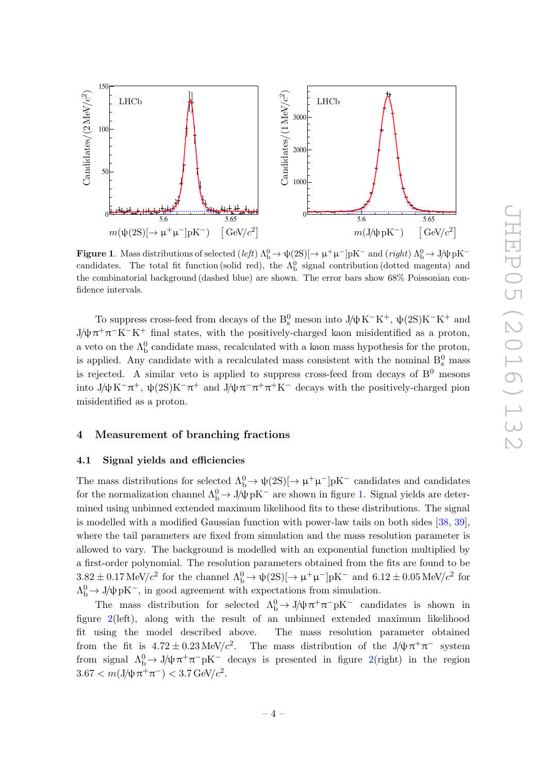

<span id="page-4-2"></span>Figure 1. Mass distributions of selected  $(left) \Lambda_b^0 \to \psi(2S) [\to \mu^+ \mu^-] pK^-$  and  $(right) \Lambda_b^0 \to J/\psi pK^$ candidates. The total fit function (solid red), the  $\Lambda_b^0$  signal contribution (dotted magenta) and the combinatorial background (dashed blue) are shown. The error bars show 68% Poissonian confidence intervals.

To suppress cross-feed from decays of the  $\rm B^0_s$  meson into J/ψ K<sup>-</sup>K<sup>+</sup>, ψ(2S)K<sup>-</sup>K<sup>+</sup> and J/ $\psi \pi^+ \pi^- K^- K^+$  final states, with the positively-charged kaon misidentified as a proton, a veto on the  $\Lambda_{\text{b}}^0$  candidate mass, recalculated with a kaon mass hypothesis for the proton, is applied. Any candidate with a recalculated mass consistent with the nominal  $B_s^0$  mass is rejected. A similar veto is applied to suppress cross-feed from decays of  $B^0$  mesons into J/ $\psi$ K<sup>-</sup>π<sup>+</sup>,  $\psi$ (2S)K<sup>-</sup>π<sup>+</sup> and J/ $\psi$ π<sup>-</sup>π<sup>+</sup>π<sup>+</sup>K<sup>-</sup> decays with the positively-charged pion misidentified as a proton.

# <span id="page-4-0"></span>4 Measurement of branching fractions

#### <span id="page-4-1"></span>4.1 Signal yields and efficiencies

The mass distributions for selected  $\Lambda_b^0 \to \psi(2S)[\to \mu^+\mu^-]pK^-$  candidates and candidates for the normalization channel  $\Lambda_b^0 \to J/\psi\,pK^-$  are shown in figure [1.](#page-4-2) Signal yields are determined using unbinned extended maximum likelihood fits to these distributions. The signal is modelled with a modified Gaussian function with power-law tails on both sides [\[38,](#page-15-10) [39\]](#page-15-11), where the tail parameters are fixed from simulation and the mass resolution parameter is allowed to vary. The background is modelled with an exponential function multiplied by a first-order polynomial. The resolution parameters obtained from the fits are found to be  $3.82 \pm 0.17 \,\text{MeV}/c^2$  for the channel  $\Lambda_b^0 \to \psi(2S)[\to \mu^+\mu^-]pK^-$  and  $6.12 \pm 0.05 \,\text{MeV}/c^2$  for  $Λ<sup>0</sup><sub>b</sub> → J/ψpK<sup>-</sup>$ , in good agreement with expectations from simulation.

The mass distribution for selected  $\Lambda_b^0 \to J/\psi \pi^+ \pi^- p K^-$  candidates is shown in figure [2\(](#page-5-0)left), along with the result of an unbinned extended maximum likelihood fit using the model described above. The mass resolution parameter obtained from the fit is  $4.72 \pm 0.23$  MeV/ $c^2$ . . The mass distribution of the  $J/\psi \pi^+ \pi^-$  system from signal  $\Lambda_b^0 \to J/\psi \pi^+ \pi^- pK^-$  decays is presented in figure [2\(](#page-5-0)right) in the region  $3.67 < m(J/\psi \pi^+ \pi^-) < 3.7 \,\text{GeV}/c^2$ .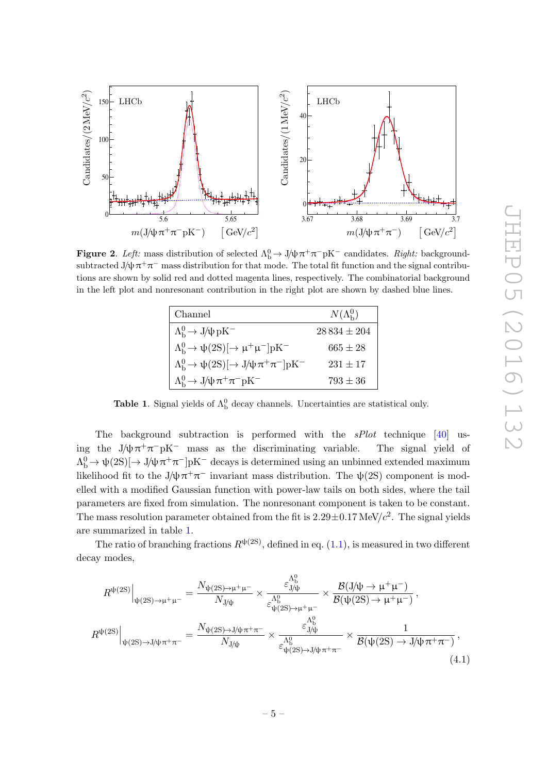

<span id="page-5-0"></span>**Figure 2.** Left: mass distribution of selected  $\Lambda_b^0 \to J/\psi \pi^+ \pi^- pK^-$  candidates. Right: backgroundsubtracted  $J/\psi \pi^+ \pi^-$  mass distribution for that mode. The total fit function and the signal contributions are shown by solid red and dotted magenta lines, respectively. The combinatorial background in the left plot and nonresonant contribution in the right plot are shown by dashed blue lines.

| Channel                                                                              | $N(\Lambda_{\rm b}^0)$ |
|--------------------------------------------------------------------------------------|------------------------|
| $\Lambda_{\rm b}^0 \rightarrow J/\psi \, {\rm pK}^-$                                 | $28834 \pm 204$        |
| $\Lambda_{\rm b}^0 \rightarrow \psi(2S)[\rightarrow \mu^+ \mu^-] \text{pK}^-$        | $665 \pm 28$           |
| $\Lambda_{\rm b}^0 \rightarrow \psi(2S)[\rightarrow J/\psi \pi^+ \pi^-] \text{pK}^-$ | $231 \pm 17$           |
| $\Lambda_b^0 \rightarrow J/\psi \pi^+ \pi^- pK^-$                                    | $793 \pm 36$           |

<span id="page-5-1"></span>**Table 1.** Signal yields of  $\Lambda_b^0$  decay channels. Uncertainties are statistical only.

The background subtraction is performed with the sPlot technique [\[40\]](#page-15-12) using the  $J/\psi \pi^+ \pi^- pK^-$  mass as the discriminating variable. The signal yield of  $\Lambda_b^0 \to \psi(2S)[\to J/\psi \pi^+\pi^-]pK^-$  decays is determined using an unbinned extended maximum likelihood fit to the J $\psi \pi^+ \pi^-$  invariant mass distribution. The  $\psi(2S)$  component is modelled with a modified Gaussian function with power-law tails on both sides, where the tail parameters are fixed from simulation. The nonresonant component is taken to be constant. The mass resolution parameter obtained from the fit is  $2.29\pm0.17$  MeV/ $c^2$ . The signal yields are summarized in table [1.](#page-5-1)

The ratio of branching fractions  $R^{\psi(2S)}$ , defined in eq. [\(1.1\)](#page-2-1), is measured in two different decay modes,

<span id="page-5-2"></span>
$$
R^{\psi(2S)}\Big|_{\psi(2S)\to\mu^{+}\mu^{-}} = \frac{N_{\psi(2S)\to\mu^{+}\mu^{-}}}{N_{\text{J/\psi}}} \times \frac{\varepsilon_{\text{J/\psi}}^{\Lambda_{\text{B}}^{0}}}{\varepsilon_{\psi(2S)\to\mu^{+}\mu^{-}}} \times \frac{\mathcal{B}(\text{J/\psi}\to\mu^{+}\mu^{-})}{\mathcal{B}(\psi(2S)\to\mu^{+}\mu^{-})},
$$
  

$$
R^{\psi(2S)}\Big|_{\psi(2S)\to\text{J/\psi}\pi^{+}\pi^{-}} = \frac{N_{\psi(2S)\to\text{J/\psi}\pi^{+}\pi^{-}}}{N_{\text{J/\psi}}} \times \frac{\varepsilon_{\text{J/\psi}}^{\Lambda_{\text{B}}^{0}}}{\varepsilon_{\psi(2S)\to\text{J/\psi}\pi^{+}\pi^{-}}} \times \frac{1}{\mathcal{B}(\psi(2S)\to\text{J/\psi}\pi^{+}\pi^{-})},
$$
(4.1)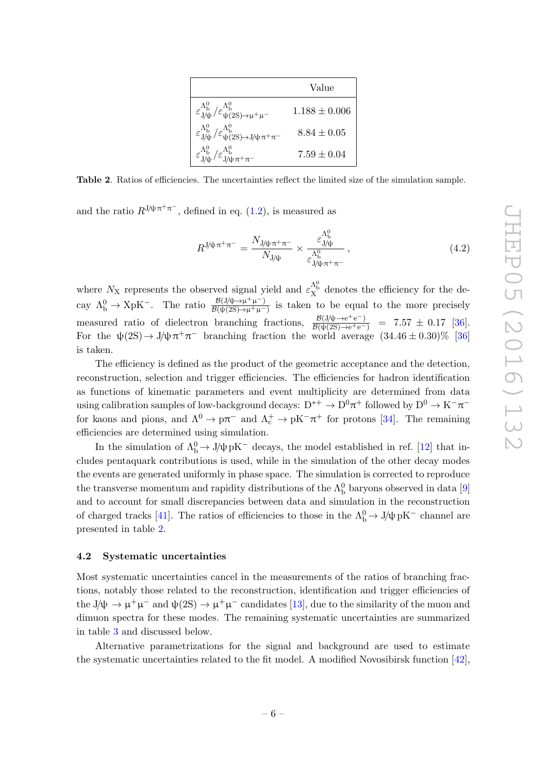|                                                                                                                   | Value           |
|-------------------------------------------------------------------------------------------------------------------|-----------------|
| $\varepsilon_{J/\!\psi}^{\Lambda_{\rm b}^0}/\varepsilon_{\psi(2S)\to\mu^+\mu^-}^{\Lambda_{\rm b}^0}$              | $1.188 + 0.006$ |
| $\varepsilon_{J\!/\!\psi}^{\Lambda_{\rm b}^0}/\varepsilon_{\psi(2S)\to J\!/\!\psi\pi^+\pi^-}^{\Lambda_{\rm b}^0}$ | $8.84 + 0.05$   |
| $\varepsilon_{J/\!\psi}^{\Lambda_{\rm b}^0}/\varepsilon_{J/\!\psi}^{\Lambda_{\rm b}^0}\pi^+\pi^-$                 | $7.59 \pm 0.04$ |

<span id="page-6-1"></span>Table 2. Ratios of efficiencies. The uncertainties reflect the limited size of the simulation sample.

and the ratio  $R^{J/\psi \pi^+ \pi^-}$ , defined in eq. [\(1.2\)](#page-2-1), is measured as

$$
R^{\mathsf{J/\psi}\pi^{+}\pi^{-}} = \frac{N_{\mathsf{J/\psi}\pi^{+}\pi^{-}}}{N_{\mathsf{J/\psi}}} \times \frac{\varepsilon_{\mathsf{J/\psi}}^{\Lambda_{\mathsf{b}}^{0}}}{\varepsilon_{\mathsf{J/\psi}\pi^{+}\pi^{-}}} , \qquad (4.2)
$$

where  $N_X$  represents the observed signal yield and  $\varepsilon_X^{\Lambda_b^0}$  denotes the efficiency for the decay  $\Lambda_b^0 \to XpK^-$ . The ratio  $\frac{\mathcal{B}(J/\psi \to \mu^+ \mu^-)}{\mathcal{B}(\psi(2S) \to \mu^+ \mu^-)}$  $\frac{\mathcal{B}(J/\psi \to \mu^+\mu^-)}{\mathcal{B}(\psi(2S) \to \mu^+\mu^-)}$  is taken to be equal to the more precisely measured ratio of dielectron branching fractions,  $\frac{\mathcal{B}(J/\psi \to e^+e^-)}{\mathcal{B}(\psi(2S) \to e^+e^-)}$  = 7.57 ± 0.17 [\[36\]](#page-15-8). For the  $\psi(2S) \to J/\psi \pi^+ \pi^-$  branching fraction the world average  $(34.46 \pm 0.30)\%$  [\[36\]](#page-15-8) is taken.

The efficiency is defined as the product of the geometric acceptance and the detection, reconstruction, selection and trigger efficiencies. The efficiencies for hadron identification as functions of kinematic parameters and event multiplicity are determined from data using calibration samples of low-background decays:  $D^{*+} \to D^0 \pi^+$  followed by  $D^0 \to K^-\pi^$ for kaons and pions, and  $\Lambda^0 \to p\pi^-$  and  $\Lambda_c^+ \to pK^-\pi^+$  for protons [\[34\]](#page-15-6). The remaining efficiencies are determined using simulation.

In the simulation of  $\Lambda_b^0 \to J/\psi \, pK^-$  decays, the model established in ref. [\[12\]](#page-14-3) that includes pentaquark contributions is used, while in the simulation of the other decay modes the events are generated uniformly in phase space. The simulation is corrected to reproduce the transverse momentum and rapidity distributions of the  $\Lambda<sub>b</sub><sup>0</sup>$  baryons observed in data [\[9\]](#page-14-0) and to account for small discrepancies between data and simulation in the reconstruction of charged tracks [\[41\]](#page-15-13). The ratios of efficiencies to those in the  $\Lambda_{\rm b}^0 \to \text{J}/\psi\,\rm pK^-$  channel are presented in table [2.](#page-6-1)

#### <span id="page-6-0"></span>4.2 Systematic uncertainties

Most systematic uncertainties cancel in the measurements of the ratios of branching fractions, notably those related to the reconstruction, identification and trigger efficiencies of the  $J/\psi \to \mu^+\mu^-$  and  $\psi(2S) \to \mu^+\mu^-$  candidates [\[13\]](#page-14-4), due to the similarity of the muon and dimuon spectra for these modes. The remaining systematic uncertainties are summarized in table [3](#page-7-0) and discussed below.

Alternative parametrizations for the signal and background are used to estimate the systematic uncertainties related to the fit model. A modified Novosibirsk function [\[42\]](#page-15-14),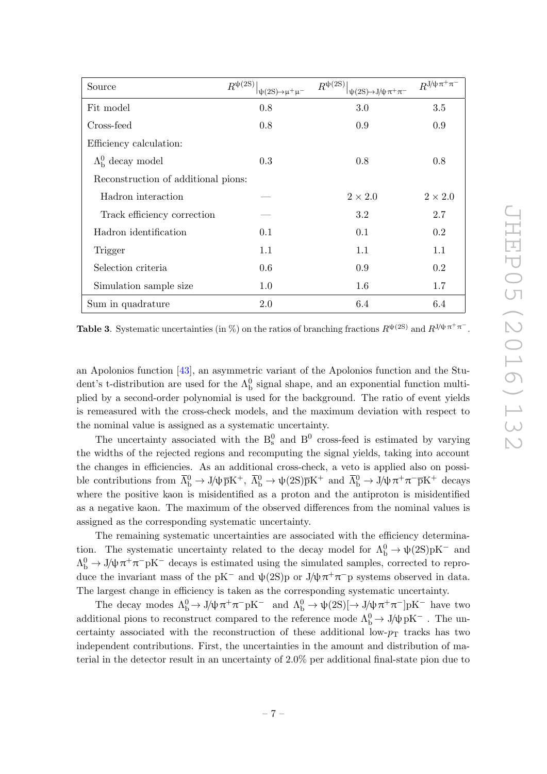| Source                              | $R^{\psi(2S)}$<br>$\psi(2S) \rightarrow \mu^+ \mu^-$ | $R^{\psi(2S)}$<br>$\vert \psi(2S) \rightarrow J/\psi \pi^+ \pi^-$ | $R^{\text{J}/\psi\pi^+\pi^-}$ |
|-------------------------------------|------------------------------------------------------|-------------------------------------------------------------------|-------------------------------|
| Fit model                           | 0.8                                                  | 3.0                                                               | 3.5                           |
| Cross-feed                          | 0.8                                                  | 0.9                                                               | 0.9                           |
| Efficiency calculation:             |                                                      |                                                                   |                               |
| $\Lambda_{\rm b}^0$ decay model     | 0.3                                                  | 0.8                                                               | 0.8                           |
| Reconstruction of additional pions: |                                                      |                                                                   |                               |
| Hadron interaction                  |                                                      | $2 \times 2.0$                                                    | $2 \times 2.0$                |
| Track efficiency correction         |                                                      | 3.2                                                               | 2.7                           |
| Hadron identification               | 0.1                                                  | 0.1                                                               | 0.2                           |
| Trigger                             | 1.1                                                  | 1.1                                                               | 1.1                           |
| Selection criteria                  | 0.6                                                  | 0.9                                                               | 0.2                           |
| Simulation sample size              | 1.0                                                  | 1.6                                                               | 1.7                           |
| Sum in quadrature                   | 2.0                                                  | 6.4                                                               | 6.4                           |

<span id="page-7-0"></span>**Table 3.** Systematic uncertainties (in %) on the ratios of branching fractions  $R^{\psi(2S)}$  and  $R^{J/\psi}\pi^{+}\pi^{-}$ .

an Apolonios function [\[43\]](#page-15-15), an asymmetric variant of the Apolonios function and the Student's t-distribution are used for the  $\Lambda_b^0$  signal shape, and an exponential function multiplied by a second-order polynomial is used for the background. The ratio of event yields is remeasured with the cross-check models, and the maximum deviation with respect to the nominal value is assigned as a systematic uncertainty.

The uncertainty associated with the  $B_s^0$  and  $B^0$  cross-feed is estimated by varying the widths of the rejected regions and recomputing the signal yields, taking into account the changes in efficiencies. As an additional cross-check, a veto is applied also on possible contributions from  $\overline{\Lambda}_{\rm b}^0 \to J/\psi \overline{\rm p}K^+$ ,  $\overline{\Lambda}_{\rm b}^0 \to \psi(2S)\overline{\rm p}K^+$  and  $\overline{\Lambda}_{\rm b}^0 \to J/\psi \pi^+ \pi^- \overline{\rm p}K^+$  decays where the positive kaon is misidentified as a proton and the antiproton is misidentified as a negative kaon. The maximum of the observed differences from the nominal values is assigned as the corresponding systematic uncertainty.

The remaining systematic uncertainties are associated with the efficiency determination. The systematic uncertainty related to the decay model for  $\Lambda_b^0 \to \psi(2S)pK^-$  and  $\Lambda_b^0 \to J/\psi \pi^+ \pi^- pK^-$  decays is estimated using the simulated samples, corrected to reproduce the invariant mass of the pK<sup>-</sup> and  $\psi(2S)$  p or J/ $\psi \pi^+ \pi^-$  p systems observed in data. The largest change in efficiency is taken as the corresponding systematic uncertainty.

The decay modes  $\Lambda_b^0 \to J/\psi \pi^+ \pi^- p K^-$  and  $\Lambda_b^0 \to \psi(2S) [\to J/\psi \pi^+ \pi^-] p K^-$  have two additional pions to reconstruct compared to the reference mode  $\Lambda_b^0 \to \mathrm{J}/\psi\,\mathrm{pK}^-$  . The uncertainty associated with the reconstruction of these additional low- $p_T$  tracks has two independent contributions. First, the uncertainties in the amount and distribution of material in the detector result in an uncertainty of 2.0% per additional final-state pion due to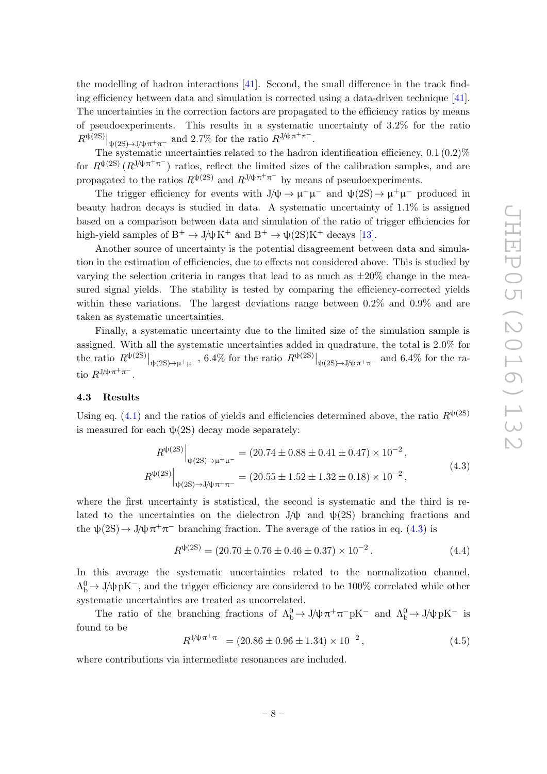the modelling of hadron interactions [\[41\]](#page-15-13). Second, the small difference in the track finding efficiency between data and simulation is corrected using a data-driven technique [\[41\]](#page-15-13). The uncertainties in the correction factors are propagated to the efficiency ratios by means of pseudoexperiments. This results in a systematic uncertainty of 3.2% for the ratio  $R^{\psi(2S)}|_{\psi(2S)\to J/\psi\pi^+\pi^-}$  and 2.7% for the ratio  $R^{J/\psi\pi^+\pi^-}$ .

The systematic uncertainties related to the hadron identification efficiency,  $0.1$   $(0.2)$ % for  $R^{\psi(2S)}(R^{J/\psi}\pi^+\pi^-)$  ratios, reflect the limited sizes of the calibration samples, and are propagated to the ratios  $R^{\psi(2S)}$  and  $R^{J/\psi \pi^+ \pi^-}$  by means of pseudoexperiments.

The trigger efficiency for events with  $J/\psi \to \mu^+\mu^-$  and  $\psi(2S) \to \mu^+\mu^-$  produced in beauty hadron decays is studied in data. A systematic uncertainty of 1.1% is assigned based on a comparison between data and simulation of the ratio of trigger efficiencies for high-yield samples of  $B^+ \to J/\psi K^+$  and  $B^+ \to \psi(2S)K^+$  decays [\[13\]](#page-14-4).

Another source of uncertainty is the potential disagreement between data and simulation in the estimation of efficiencies, due to effects not considered above. This is studied by varying the selection criteria in ranges that lead to as much as  $\pm 20\%$  change in the measured signal yields. The stability is tested by comparing the efficiency-corrected yields within these variations. The largest deviations range between 0.2% and 0.9% and are taken as systematic uncertainties.

Finally, a systematic uncertainty due to the limited size of the simulation sample is assigned. With all the systematic uncertainties added in quadrature, the total is 2.0% for the ratio  $R^{\psi(2S)}|_{\psi(2S)\to\mu^+\mu^-}$ , 6.4% for the ratio  $R^{\psi(2S)}|_{\psi(2S)\to J/\psi\pi^+\pi^-}$  and 6.4% for the ratio  $R^{\frac{1}{\psi}\pi^+\pi^-}$ .

# <span id="page-8-0"></span>4.3 Results

Using eq. [\(4.1\)](#page-5-2) and the ratios of yields and efficiencies determined above, the ratio  $R^{\psi(2S)}$ is measured for each  $\psi(2S)$  decay mode separately:

<span id="page-8-1"></span>
$$
R^{\psi(2S)}\Big|_{\psi(2S)\to\mu^+\mu^-} = (20.74 \pm 0.88 \pm 0.41 \pm 0.47) \times 10^{-2},
$$
  
\n
$$
R^{\psi(2S)}\Big|_{\psi(2S)\to J/\psi\pi^+\pi^-} = (20.55 \pm 1.52 \pm 1.32 \pm 0.18) \times 10^{-2},
$$
\n(4.3)

where the first uncertainty is statistical, the second is systematic and the third is related to the uncertainties on the dielectron J/ $\psi$  and  $\psi(2S)$  branching fractions and the  $\psi(2S) \to J/\psi \pi^+ \pi^-$  branching fraction. The average of the ratios in eq. [\(4.3\)](#page-8-1) is

$$
R^{\psi(2S)} = (20.70 \pm 0.76 \pm 0.46 \pm 0.37) \times 10^{-2}.
$$
 (4.4)

In this average the systematic uncertainties related to the normalization channel,  $Λ<sup>0</sup><sub>b</sub> \rightarrow J/\psi pK<sup>-</sup>$ , and the trigger efficiency are considered to be 100% correlated while other systematic uncertainties are treated as uncorrelated.

The ratio of the branching fractions of  $\Lambda_b^0 \to J/\psi \pi^+ \pi^- p K^-$  and  $\Lambda_b^0 \to J/\psi p K^-$  is found to be

$$
R^{\frac{1}{\psi}\pi^{+}\pi^{-}} = (20.86 \pm 0.96 \pm 1.34) \times 10^{-2}, \qquad (4.5)
$$

where contributions via intermediate resonances are included.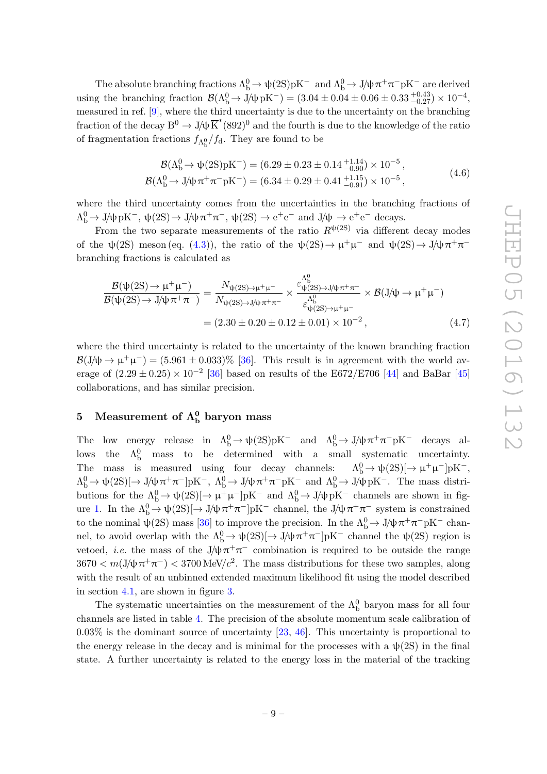The absolute branching fractions  $\Lambda_b^0 \to \psi(2S)pK^-$  and  $\Lambda_b^0 \to J/\psi \pi^+ \pi^- pK^-$  are derived using the branching fraction  $\mathcal{B}(\Lambda_b^0 \to J/\psi \,\mathrm{pK}^-) = (3.04 \pm 0.04 \pm 0.06 \pm 0.33 \frac{+0.43}{-0.27}) \times 10^{-4}$ , measured in ref. [\[9\]](#page-14-0), where the third uncertainty is due to the uncertainty on the branching fraction of the decay  $B^0 \to J/\psi \overline{K}^*(892)^0$  and the fourth is due to the knowledge of the ratio of fragmentation fractions  $f_{\Lambda_b^0}/f_d$ . They are found to be

$$
\mathcal{B}(\Lambda_b^0 \to \psi(2S)pK^-) = (6.29 \pm 0.23 \pm 0.14^{+1.14}_{-0.90}) \times 10^{-5}, \n\mathcal{B}(\Lambda_b^0 \to J/\psi \pi^+ \pi^- pK^-) = (6.34 \pm 0.29 \pm 0.41^{+1.15}_{-0.91}) \times 10^{-5},
$$
\n(4.6)

where the third uncertainty comes from the uncertainties in the branching fractions of  $\Lambda_b^0 \to J/\psi \,\mathrm{pK}^-$ ,  $\psi(2S) \to J/\psi \,\pi^+\pi^-$ ,  $\psi(2S) \to e^+e^-$  and  $J/\psi \to e^+e^-$  decays.

From the two separate measurements of the ratio  $R^{\psi(2S)}$  via different decay modes of the  $\psi(2S)$  meson (eq. [\(4.3\)](#page-8-1)), the ratio of the  $\psi(2S) \to \mu^+ \mu^-$  and  $\psi(2S) \to J/\psi \pi^+ \pi^$ branching fractions is calculated as

$$
\frac{\mathcal{B}(\psi(2S) \to \mu^{+}\mu^{-})}{\mathcal{B}(\psi(2S) \to J/\psi \pi^{+}\pi^{-})} = \frac{N_{\psi(2S) \to \mu^{+}\mu^{-}}}{N_{\psi(2S) \to J/\psi \pi^{+}\pi^{-}}} \times \frac{\varepsilon_{\psi(2S) \to J/\psi \pi^{+}\pi^{-}}^{\Lambda_{\phi}^{0}}}{\varepsilon_{\psi(2S) \to \mu^{+}\mu^{-}}^{\Lambda_{\phi}^{0}}} \times \mathcal{B}(J/\psi \to \mu^{+}\mu^{-})
$$

$$
= (2.30 \pm 0.20 \pm 0.12 \pm 0.01) \times 10^{-2}, \tag{4.7}
$$

where the third uncertainty is related to the uncertainty of the known branching fraction  $\mathcal{B}(J/\psi \to \mu^+\mu^-) = (5.961 \pm 0.033)\%$  [\[36\]](#page-15-8). This result is in agreement with the world average of  $(2.29 \pm 0.25) \times 10^{-2}$  [\[36\]](#page-15-8) based on results of the E672/E706 [\[44\]](#page-15-16) and BaBar [\[45\]](#page-15-17) collaborations, and has similar precision.

# <span id="page-9-0"></span>5 Measurement of  $\Lambda^{0}_{\rm b}$  baryon mass

The low energy release in  $\Lambda_b^0 \to \psi(2S)pK^-$  and  $\Lambda_b^0 \to J/\psi \pi^+ \pi^- pK^-$  decays allows the  $\Lambda_b^0$  mass to be determined with a small systematic uncertainty. The mass is measured using four decay channels:  $\Lambda_b^0 \to \psi(2S) [\to \mu^+ \mu^-] pK^-$ ,  $\Lambda_b^0 \to \psi(2S) [\to J/\psi \pi^+ \pi^-] \bar{p} K^-$ ,  $\Lambda_b^0 \to J/\psi \pi^+ \pi^- \bar{p} K^-$  and  $\Lambda_b^0 \to J/\psi \bar{p} K^-$ . The mass distributions for the  $\Lambda_b^0 \to \psi(2S)[\to \mu^+\mu^-]pK^-$  and  $\Lambda_b^0 \to J/\psi pK^-$  channels are shown in fig-ure [1.](#page-4-2) In the  $\Lambda_b^0 \to \psi(2S)[\to J/\psi \pi^+\pi^-]pK^-$  channel, the  $J/\psi \pi^+\pi^-$  system is constrained to the nominal  $\psi(2S)$  mass [\[36\]](#page-15-8) to improve the precision. In the  $\Lambda_b^0 \to J/\psi \pi^+ \pi^- pK^-$  channel, to avoid overlap with the  $\Lambda_b^0 \to \psi(2S) \rightarrow J/\psi \pi^+ \pi^-$  [pK<sup>-</sup> channel the  $\psi(2S)$  region is vetoed, *i.e.* the mass of the  $J/\psi \pi^+\pi^-$  combination is required to be outside the range  $3670 < m(J/\psi \pi^+\pi^-) < 3700 \,\text{MeV}/c^2$ . The mass distributions for these two samples, along with the result of an unbinned extended maximum likelihood fit using the model described in section [4.1,](#page-4-1) are shown in figure [3.](#page-10-0)

The systematic uncertainties on the measurement of the  $\Lambda_{\rm b}^0$  baryon mass for all four channels are listed in table [4.](#page-10-1) The precision of the absolute momentum scale calibration of  $0.03\%$  is the dominant source of uncertainty [\[23,](#page-14-10) [46\]](#page-15-18). This uncertainty is proportional to the energy release in the decay and is minimal for the processes with a  $\psi(2S)$  in the final state. A further uncertainty is related to the energy loss in the material of the tracking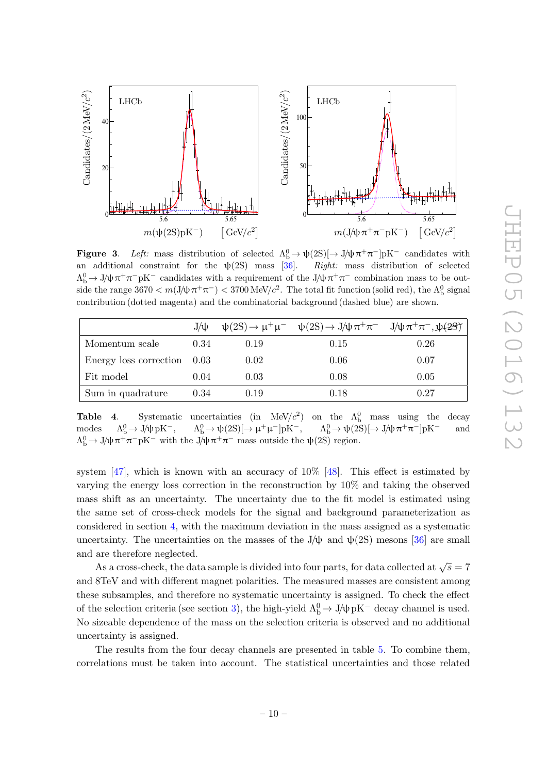

<span id="page-10-0"></span>**Figure 3.** Left: mass distribution of selected  $\Lambda_b^0 \to \psi(2S) \rightarrow J/\psi \pi^+ \pi^-$  pK<sup>-</sup> candidates with an additional constraint for the  $\psi(2S)$  mass [\[36\]](#page-15-8). Right: mass distribution of selected  $\Lambda_b^0 \to J/\psi \pi^+ \pi^- pK^-$  candidates with a requirement of the  $J/\psi \pi^+ \pi^-$  combination mass to be outside the range  $3670 < m(J/\psi \pi^+ \pi^-) < 3700 \text{ MeV}/c^2$ . The total fit function (solid red), the  $\Lambda_b^0$  signal contribution (dotted magenta) and the combinatorial background (dashed blue) are shown.

|                               | $J/\psi$ |      | $\psi(2S) \rightarrow \mu^+ \mu^ \psi(2S) \rightarrow J/\psi \pi^+ \pi^ J/\psi \pi^+ \pi^-$ , $\psi(2S)$ |      |
|-------------------------------|----------|------|----------------------------------------------------------------------------------------------------------|------|
| Momentum scale                | 0.34     | 0.19 | 0.15                                                                                                     | 0.26 |
| Energy loss correction $0.03$ |          | 0.02 | 0.06                                                                                                     | 0.07 |
| Fit model                     | 0.04     | 0.03 | 0.08                                                                                                     | 0.05 |
| Sum in quadrature             | 0.34     | 0.19 | 0.18                                                                                                     | 0.27 |

<span id="page-10-1"></span>**Table 4.** Systematic uncertainties (in  $\text{MeV}/c^2$ ) on the  $\Lambda_b^0$  mass using the decay modes  $\Lambda_b^0 \to J/\psi \,\mathrm{pK}^-$ ,  $b^0_b \rightarrow J/\psi pK^-$ ,  $\Lambda_b^0 \rightarrow \psi(2S)[\rightarrow \mu^+\mu^-]pK^-$ ,  $\Lambda_b^0 \rightarrow \psi(2S)[\rightarrow J/\psi \pi^+\pi^-]pK^-$  and  $\Lambda_b^0 \to J/\psi \pi^+ \pi^- p K^-$  with the  $J/\psi \pi^+ \pi^-$  mass outside the  $\psi(2S)$  region.

system  $[47]$ , which is known with an accuracy of  $10\%$  [\[48\]](#page-16-1). This effect is estimated by varying the energy loss correction in the reconstruction by 10% and taking the observed mass shift as an uncertainty. The uncertainty due to the fit model is estimated using the same set of cross-check models for the signal and background parameterization as considered in section [4,](#page-4-0) with the maximum deviation in the mass assigned as a systematic uncertainty. The uncertainties on the masses of the J/ $\psi$  and  $\psi(2S)$  mesons [\[36\]](#page-15-8) are small and are therefore neglected.

As a cross-check, the data sample is divided into four parts, for data collected at  $\sqrt{s} = 7$ and 8TeV and with different magnet polarities. The measured masses are consistent among these subsamples, and therefore no systematic uncertainty is assigned. To check the effect of the selection criteria (see section [3\)](#page-3-0), the high-yield  $\Lambda_b^0 \to J/\psi pK^-$  decay channel is used. No sizeable dependence of the mass on the selection criteria is observed and no additional uncertainty is assigned.

The results from the four decay channels are presented in table [5.](#page-11-0) To combine them, correlations must be taken into account. The statistical uncertainties and those related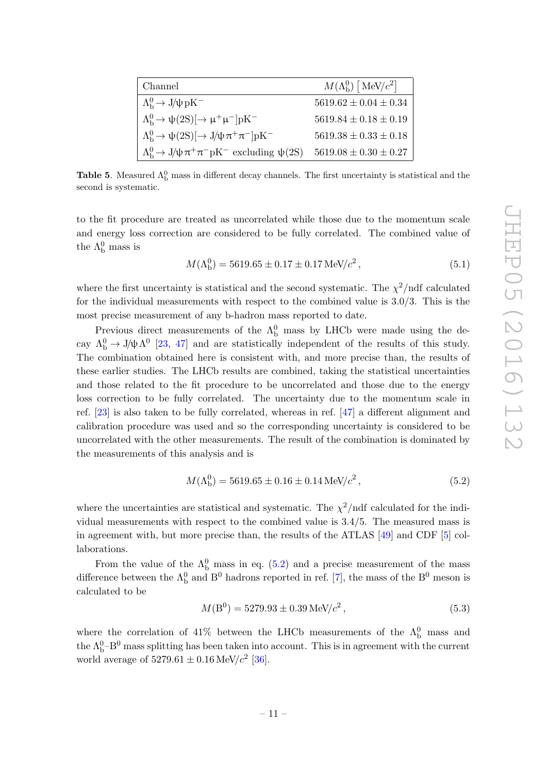| Channel                                                                              | $M(\Lambda_{\rm b}^0)$ [MeV/ $c^2$ ] |
|--------------------------------------------------------------------------------------|--------------------------------------|
| $\Lambda_{\rm b}^0 \rightarrow J/\psi \,\rm{pK}^-$                                   | $5619.62 \pm 0.04 \pm 0.34$          |
| $\Lambda_{\rm b}^0 \rightarrow \psi(2S)[\rightarrow \mu^+ \mu^-] \text{pK}^-$        | $5619.84 \pm 0.18 \pm 0.19$          |
| $\Lambda_{\rm b}^0 \rightarrow \psi(2S)[\rightarrow J/\psi \pi^+ \pi^-] \text{pK}^-$ | $5619.38 \pm 0.33 \pm 0.18$          |
| $\Lambda_{\rm b}^0 \rightarrow J/\psi \pi^+ \pi^- pK^-$ excluding $\psi(2S)$         | $5619.08 \pm 0.30 \pm 0.27$          |

<span id="page-11-0"></span>Table 5. Measured  $\Lambda_b^0$  mass in different decay channels. The first uncertainty is statistical and the second is systematic.

to the fit procedure are treated as uncorrelated while those due to the momentum scale and energy loss correction are considered to be fully correlated. The combined value of the  $\Lambda_{\rm b}^0$  mass is

$$
M(\Lambda_{\rm b}^0) = 5619.65 \pm 0.17 \pm 0.17 \,\text{MeV}/c^2 \,,\tag{5.1}
$$

where the first uncertainty is statistical and the second systematic. The  $\chi^2$ /ndf calculated for the individual measurements with respect to the combined value is 3.0/3. This is the most precise measurement of any b-hadron mass reported to date.

Previous direct measurements of the  $\Lambda_b^0$  mass by LHCb were made using the decay  $\Lambda_b^0 \to J/\psi \Lambda^0$  [\[23,](#page-14-10) [47\]](#page-16-0) and are statistically independent of the results of this study. The combination obtained here is consistent with, and more precise than, the results of these earlier studies. The LHCb results are combined, taking the statistical uncertainties and those related to the fit procedure to be uncorrelated and those due to the energy loss correction to be fully correlated. The uncertainty due to the momentum scale in ref. [\[23\]](#page-14-10) is also taken to be fully correlated, whereas in ref. [\[47\]](#page-16-0) a different alignment and calibration procedure was used and so the corresponding uncertainty is considered to be uncorrelated with the other measurements. The result of the combination is dominated by the measurements of this analysis and is

<span id="page-11-1"></span>
$$
M(\Lambda_b^0) = 5619.65 \pm 0.16 \pm 0.14 \,\text{MeV}/c^2 \,,\tag{5.2}
$$

where the uncertainties are statistical and systematic. The  $\chi^2/\text{ndf}$  calculated for the individual measurements with respect to the combined value is 3.4/5. The measured mass is in agreement with, but more precise than, the results of the ATLAS [\[49\]](#page-16-2) and CDF [\[5\]](#page-13-3) collaborations.

From the value of the  $\Lambda_b^0$  mass in eq. [\(5.2\)](#page-11-1) and a precise measurement of the mass difference between the  $\Lambda_{\rm b}^0$  and  $\rm B^0$  hadrons reported in ref. [\[7\]](#page-13-5), the mass of the  $\rm B^0$  meson is calculated to be

$$
M(B^0) = 5279.93 \pm 0.39 \,\text{MeV}/c^2 \,,\tag{5.3}
$$

where the correlation of 41% between the LHCb measurements of the  $\Lambda_b^0$  mass and the  $\Lambda_b^0$ –B<sup>0</sup> mass splitting has been taken into account. This is in agreement with the current world average of  $5279.61 \pm 0.16 \,\text{MeV}/c^2$  [\[36\]](#page-15-8).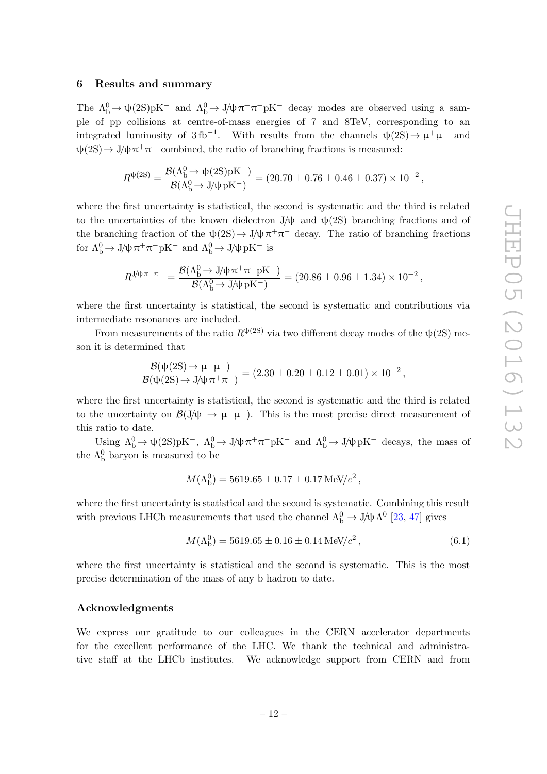#### <span id="page-12-0"></span>6 Results and summary

The  $\Lambda_b^0 \to \psi(2S)pK^-$  and  $\Lambda_b^0 \to J/\psi \pi^+ \pi^- pK^-$  decay modes are observed using a sample of pp collisions at centre-of-mass energies of 7 and 8TeV, corresponding to an integrated luminosity of 3fb<sup>-1</sup>. With results from the channels  $\psi(2S) \to \mu^+ \mu^-$  and  $\psi(2S) \to J/\psi \pi^+ \pi^-$  combined, the ratio of branching fractions is measured:

$$
R^{\psi(2\mathrm{S})} = \frac{\mathcal{B}(\Lambda_{\mathrm{b}}^0\to \psi(2\mathrm{S})\mathrm{pK^-})}{\mathcal{B}(\Lambda_{\mathrm{b}}^0\to \mathrm{J}/\psi\,\mathrm{pK^-})} = (20.70\pm 0.76\pm 0.46\pm 0.37)\times 10^{-2}\,,
$$

where the first uncertainty is statistical, the second is systematic and the third is related to the uncertainties of the known dielectron  $J/\psi$  and  $\psi(2S)$  branching fractions and of the branching fraction of the  $\psi(2S) \to J/\psi \pi^+ \pi^-$  decay. The ratio of branching fractions for  $\Lambda_b^0 \to J/\psi \pi^+ \pi^- pK^-$  and  $\Lambda_b^0 \to J/\psi pK^-$  is

$$
R^{\text{J/}\psi\pi^+\pi^-} = \frac{\mathcal{B}(\Lambda_{\text{b}}^0 \to \text{J/\psi}\pi^+\pi^- \text{pK}^-)}{\mathcal{B}(\Lambda_{\text{b}}^0 \to \text{J/\psi}\,\text{pK}^-)} = (20.86 \pm 0.96 \pm 1.34) \times 10^{-2},
$$

where the first uncertainty is statistical, the second is systematic and contributions via intermediate resonances are included.

From measurements of the ratio  $R^{\psi(2S)}$  via two different decay modes of the  $\psi(2S)$  meson it is determined that

$$
\frac{\mathcal{B}(\psi(2S) \to \mu^+ \mu^-)}{\mathcal{B}(\psi(2S) \to J/\psi \pi^+ \pi^-)} = (2.30 \pm 0.20 \pm 0.12 \pm 0.01) \times 10^{-2},
$$

where the first uncertainty is statistical, the second is systematic and the third is related to the uncertainty on  $\mathcal{B}(J/\psi \to \mu^+\mu^-)$ . This is the most precise direct measurement of this ratio to date.

Using  $\Lambda_b^0 \to \psi(2S)pK^-$ ,  $\Lambda_b^0 \to J/\psi \pi^+ \pi^- pK^-$  and  $\Lambda_b^0 \to J/\psi pK^-$  decays, the mass of the  $\Lambda_{\rm b}^0$  baryon is measured to be

$$
M(\Lambda_{\rm b}^0) = 5619.65 \pm 0.17 \pm 0.17 \,\text{MeV}/c^2 \,,
$$

where the first uncertainty is statistical and the second is systematic. Combining this result with previous LHCb measurements that used the channel  $\Lambda_b^0 \to J/\psi \Lambda^0$  [\[23,](#page-14-10) [47\]](#page-16-0) gives

$$
M(\Lambda_b^0) = 5619.65 \pm 0.16 \pm 0.14 \,\text{MeV}/c^2 \,,\tag{6.1}
$$

where the first uncertainty is statistical and the second is systematic. This is the most precise determination of the mass of any b hadron to date.

# Acknowledgments

We express our gratitude to our colleagues in the CERN accelerator departments for the excellent performance of the LHC. We thank the technical and administrative staff at the LHCb institutes. We acknowledge support from CERN and from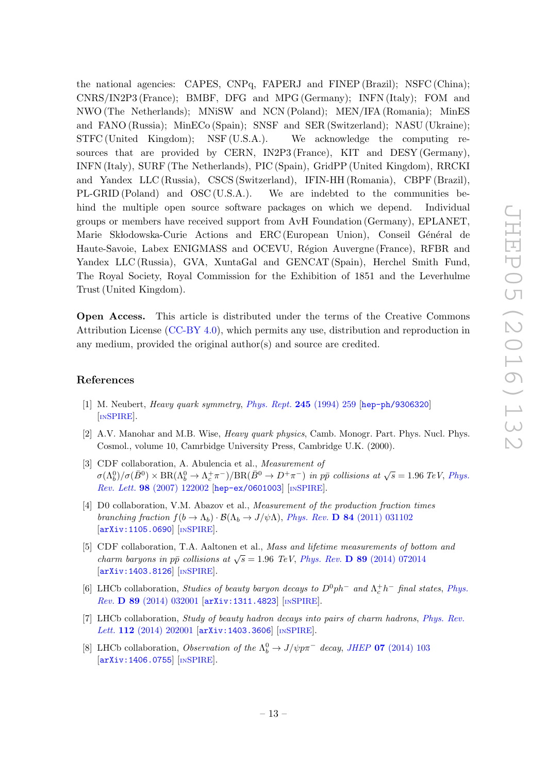the national agencies: CAPES, CNPq, FAPERJ and FINEP (Brazil); NSFC (China); CNRS/IN2P3 (France); BMBF, DFG and MPG (Germany); INFN (Italy); FOM and NWO (The Netherlands); MNiSW and NCN (Poland); MEN/IFA (Romania); MinES and FANO (Russia); MinECo (Spain); SNSF and SER (Switzerland); NASU (Ukraine); STFC (United Kingdom); NSF (U.S.A.). We acknowledge the computing resources that are provided by CERN, IN2P3 (France), KIT and DESY (Germany), INFN (Italy), SURF (The Netherlands), PIC (Spain), GridPP (United Kingdom), RRCKI and Yandex LLC (Russia), CSCS (Switzerland), IFIN-HH (Romania), CBPF (Brazil), PL-GRID (Poland) and OSC (U.S.A.). We are indebted to the communities behind the multiple open source software packages on which we depend. Individual groups or members have received support from AvH Foundation (Germany), EPLANET, Marie Skłodowska-Curie Actions and ERC (European Union), Conseil Général de Haute-Savoie, Labex ENIGMASS and OCEVU, Région Auvergne (France), RFBR and Yandex LLC (Russia), GVA, XuntaGal and GENCAT (Spain), Herchel Smith Fund, The Royal Society, Royal Commission for the Exhibition of 1851 and the Leverhulme Trust (United Kingdom).

Open Access. This article is distributed under the terms of the Creative Commons Attribution License [\(CC-BY 4.0\)](http://creativecommons.org/licenses/by/4.0/), which permits any use, distribution and reproduction in any medium, provided the original author(s) and source are credited.

# References

- <span id="page-13-0"></span>[1] M. Neubert, Heavy quark symmetry, [Phys. Rept.](http://dx.doi.org/10.1016/0370-1573(94)90091-4) 245 (1994) 259 [[hep-ph/9306320](http://arxiv.org/abs/hep-ph/9306320)] [IN[SPIRE](http://inspirehep.net/search?p=find+EPRINT+hep-ph/9306320)].
- <span id="page-13-1"></span>[2] A.V. Manohar and M.B. Wise, Heavy quark physics, Camb. Monogr. Part. Phys. Nucl. Phys. Cosmol., volume 10, Camrbidge University Press, Cambridge U.K. (2000).
- <span id="page-13-2"></span>[3] CDF collaboration, A. Abulencia et al., *Measurement of*  $\sigma(\Lambda_b^0)/\sigma(\bar{B}^0) \times \text{BR}(\Lambda_b^0 \to \Lambda_c^+\pi^-)/\text{BR}(\bar{B}^0 \to D^+\pi^-)$  in pp collisions at  $\sqrt{s} = 1.96$  TeV, [Phys.](http://dx.doi.org/10.1103/PhysRevLett.98.122002) Rev. Lett. 98 [\(2007\) 122002](http://dx.doi.org/10.1103/PhysRevLett.98.122002) [[hep-ex/0601003](http://arxiv.org/abs/hep-ex/0601003)] [IN[SPIRE](http://inspirehep.net/search?p=find+EPRINT+hep-ex/0601003)].
- [4] D0 collaboration, V.M. Abazov et al., Measurement of the production fraction times branching fraction  $f(b \to \Lambda_b) \cdot \mathcal{B}(\Lambda_b \to J/\psi \Lambda)$ , Phys. Rev. **D** 84 [\(2011\) 031102](http://dx.doi.org/10.1103/PhysRevD.84.031102) [[arXiv:1105.0690](http://arxiv.org/abs/1105.0690)] [IN[SPIRE](http://inspirehep.net/search?p=find+EPRINT+arXiv:1105.0690)].
- <span id="page-13-3"></span>[5] CDF collaboration, T.A. Aaltonen et al., Mass and lifetime measurements of bottom and charm baryons in pp⊂collisions at  $\sqrt{s} = 1.96$  TeV, Phys. Rev. **D** 89 [\(2014\) 072014](http://dx.doi.org/10.1103/PhysRevD.89.072014) [[arXiv:1403.8126](http://arxiv.org/abs/1403.8126)] [IN[SPIRE](http://inspirehep.net/search?p=find+EPRINT+arXiv:1403.8126)].
- <span id="page-13-4"></span>[6] LHCb collaboration, *Studies of beauty baryon decays to*  $D^0 p h^-$  and  $\Lambda_c^+ h^-$  final states, *[Phys.](http://dx.doi.org/10.1103/PhysRevD.89.032001)* Rev. D 89 [\(2014\) 032001](http://dx.doi.org/10.1103/PhysRevD.89.032001) [[arXiv:1311.4823](http://arxiv.org/abs/1311.4823)] [IN[SPIRE](http://inspirehep.net/search?p=find+EPRINT+arXiv:1311.4823)].
- <span id="page-13-5"></span>[7] LHCb collaboration, *Study of beauty hadron decays into pairs of charm hadrons*, *[Phys. Rev.](http://dx.doi.org/10.1103/PhysRevLett.112.202001)* Lett. 112 [\(2014\) 202001](http://dx.doi.org/10.1103/PhysRevLett.112.202001) [[arXiv:1403.3606](http://arxiv.org/abs/1403.3606)] [IN[SPIRE](http://inspirehep.net/search?p=find+EPRINT+arXiv:1403.3606)].
- <span id="page-13-6"></span>[8] LHCb collaboration, *Observation of the*  $\Lambda_b^0 \to J/\psi p \pi^-$  decay, *JHEP* **07** [\(2014\) 103](http://dx.doi.org/10.1007/JHEP07(2014)103) [[arXiv:1406.0755](http://arxiv.org/abs/1406.0755)] [IN[SPIRE](http://inspirehep.net/search?p=find+EPRINT+arXiv:1406.0755)].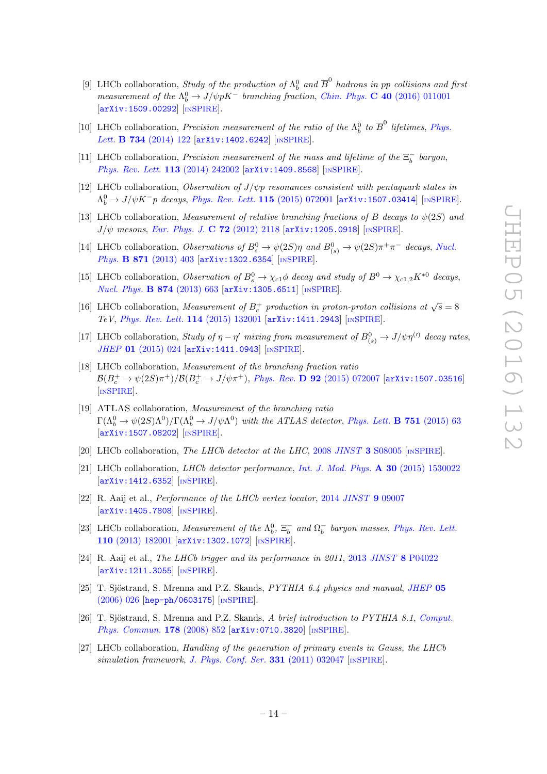- <span id="page-14-0"></span>[9] LHCb collaboration, *Study of the production of*  $\Lambda_b^0$  and  $\overline{B}^0$  hadrons in pp collisions and first measurement of the  $\Lambda_b^0 \to J/\psi p K^-$  branching fraction, Chin. Phys. C 40 [\(2016\) 011001](http://dx.doi.org/10.1088/1674-1137/40/1/011001) [[arXiv:1509.00292](http://arxiv.org/abs/1509.00292)] [IN[SPIRE](http://inspirehep.net/search?p=find+EPRINT+arXiv:1509.00292)].
- <span id="page-14-1"></span>[10] LHCb collaboration, *Precision measurement of the ratio of the*  $\Lambda_b^0$  *to*  $\overline{B}^0$  *lifetimes, [Phys.](http://dx.doi.org/10.1016/j.physletb.2014.05.021)* Lett. **B 734** [\(2014\) 122](http://dx.doi.org/10.1016/j.physletb.2014.05.021) [[arXiv:1402.6242](http://arxiv.org/abs/1402.6242)] [IN[SPIRE](http://inspirehep.net/search?p=find+EPRINT+arXiv:1402.6242)].
- <span id="page-14-2"></span>[11] LHCb collaboration, *Precision measurement of the mass and lifetime of the*  $\Xi_b^-$  baryon, [Phys. Rev. Lett.](http://dx.doi.org/10.1103/PhysRevLett.113.242002) 113 (2014) 242002 [[arXiv:1409.8568](http://arxiv.org/abs/1409.8568)] [IN[SPIRE](http://inspirehep.net/search?p=find+EPRINT+arXiv:1409.8568)].
- <span id="page-14-3"></span>[12] LHCb collaboration, Observation of  $J/\psi p$  resonances consistent with pentaquark states in  $\Lambda_b^0 \to J/\psi K^- p$  decays, [Phys. Rev. Lett.](http://dx.doi.org/10.1103/PhysRevLett.115.072001) 115 (2015) 072001 [[arXiv:1507.03414](http://arxiv.org/abs/1507.03414)] [IN[SPIRE](http://inspirehep.net/search?p=find+EPRINT+arXiv:1507.03414)].
- <span id="page-14-4"></span>[13] LHCb collaboration, Measurement of relative branching fractions of B decays to  $\psi(2S)$  and  $J/\psi$  mesons, [Eur. Phys. J.](http://dx.doi.org/10.1140/epjc/s10052-012-2118-7) C 72 (2012) 2118  $\left[$ [arXiv:1205.0918](http://arxiv.org/abs/1205.0918) $\right]$  [IN[SPIRE](http://inspirehep.net/search?p=find+EPRINT+arXiv:1205.0918)].
- [14] LHCb collaboration, Observations of  $B_s^0 \to \psi(2S)\eta$  and  $B_{(s)}^0 \to \psi(2S)\pi^+\pi^-$  decays, [Nucl.](http://dx.doi.org/10.1016/j.nuclphysb.2013.03.004) Phys. B 871 [\(2013\) 403](http://dx.doi.org/10.1016/j.nuclphysb.2013.03.004) [[arXiv:1302.6354](http://arxiv.org/abs/1302.6354)] [IN[SPIRE](http://inspirehep.net/search?p=find+EPRINT+arXiv:1302.6354)].
- [15] LHCb collaboration, Observation of  $B_s^0 \to \chi_{c1} \phi$  decay and study of  $B^0 \to \chi_{c1,2} K^{*0}$  decays, [Nucl. Phys.](http://dx.doi.org/10.1016/j.nuclphysb.2013.06.005) B 874 (2013) 663 [[arXiv:1305.6511](http://arxiv.org/abs/1305.6511)] [IN[SPIRE](http://inspirehep.net/search?p=find+EPRINT+arXiv:1305.6511)].
- [16] LHCb collaboration, Measurement of  $B_c^+$  production in proton-proton collisions at  $\sqrt{s} = 8$ TeV, [Phys. Rev. Lett.](http://dx.doi.org/10.1103/PhysRevLett.114.132001) 114 (2015) 132001 [[arXiv:1411.2943](http://arxiv.org/abs/1411.2943)] [IN[SPIRE](http://inspirehep.net/search?p=find+EPRINT+arXiv:1411.2943)].
- <span id="page-14-15"></span>[17] LHCb collaboration, Study of  $\eta - \eta'$  mixing from measurement of  $B^0_{(s)} \to J/\psi \eta^{(\prime)}$  decay rates, JHEP 01 [\(2015\) 024](http://dx.doi.org/10.1007/JHEP01(2015)024) [[arXiv:1411.0943](http://arxiv.org/abs/1411.0943)] [IN[SPIRE](http://inspirehep.net/search?p=find+EPRINT+arXiv:1411.0943)].
- <span id="page-14-5"></span>[18] LHCb collaboration, Measurement of the branching fraction ratio  ${\cal B}(B_c^+\to \psi(2S)\pi^+)/{\cal B}(B_c^+\to J/\psi\pi^+),\, Phys.\,\, Rev.\,\,{\bf D}\,$  92  $(2015)$  072007  $[{\tt arXiv:1507.03516}]$  $[{\tt arXiv:1507.03516}]$  $[{\tt arXiv:1507.03516}]$ [IN[SPIRE](http://inspirehep.net/search?p=find+EPRINT+arXiv:1507.03516)].
- <span id="page-14-6"></span>[19] ATLAS collaboration, Measurement of the branching ratio  $\Gamma(\Lambda_b^0 \to \psi(2S)\Lambda^0)/\Gamma(\Lambda_b^0 \to J/\psi \Lambda^0)$  with the ATLAS detector, [Phys. Lett.](http://dx.doi.org/10.1016/j.physletb.2015.10.009) **B** 751 (2015) 63 [[arXiv:1507.08202](http://arxiv.org/abs/1507.08202)] [IN[SPIRE](http://inspirehep.net/search?p=find+EPRINT+arXiv:1507.08202)].
- <span id="page-14-7"></span>[20] LHCb collaboration, The LHCb detector at the LHC, 2008 JINST 3 [S08005](http://dx.doi.org/10.1088/1748-0221/3/08/S08005) [IN[SPIRE](http://inspirehep.net/search?p=find+J+"JINST,3,S08005")].
- <span id="page-14-8"></span>[21] LHCb collaboration, LHCb detector performance, [Int. J. Mod. Phys.](http://dx.doi.org/10.1142/S0217751X15300227) A 30 (2015) 1530022 [[arXiv:1412.6352](http://arxiv.org/abs/1412.6352)] [IN[SPIRE](http://inspirehep.net/search?p=find+EPRINT+arXiv:1412.6352)].
- <span id="page-14-9"></span>[22] R. Aaij et al., *Performance of the LHCb vertex locator*, 2014 [JINST](http://dx.doi.org/10.1088/1748-0221/9/90/09007) 9 09007  $\left[$ [arXiv:1405.7808](http://arxiv.org/abs/1405.7808) $\right]$  $\left[$ IN[SPIRE](http://inspirehep.net/search?p=find+EPRINT+arXiv:1405.7808) $\right]$
- <span id="page-14-10"></span>[23] LHCb collaboration, Measurement of the  $\Lambda_b^0$ ,  $\Xi_b^-$  and  $\Omega_b^-$  baryon masses, [Phys. Rev. Lett.](http://dx.doi.org/10.1103/PhysRevLett.110.182001) 110 [\(2013\) 182001](http://dx.doi.org/10.1103/PhysRevLett.110.182001) [[arXiv:1302.1072](http://arxiv.org/abs/1302.1072)] [IN[SPIRE](http://inspirehep.net/search?p=find+EPRINT+arXiv:1302.1072)].
- <span id="page-14-11"></span>[24] R. Aaij et al., The LHCb trigger and its performance in 2011, 2013 JINST 8 [P04022](http://dx.doi.org/10.1088/1748-0221/8/04/P04022) [[arXiv:1211.3055](http://arxiv.org/abs/1211.3055)] [IN[SPIRE](http://inspirehep.net/search?p=find+EPRINT+arXiv:1211.3055)].
- <span id="page-14-12"></span>[25] T. Sjöstrand, S. Mrenna and P.Z. Skands,  $PYTHIA$  6.4 physics and manual, [JHEP](http://dx.doi.org/10.1088/1126-6708/2006/05/026) 05 [\(2006\) 026](http://dx.doi.org/10.1088/1126-6708/2006/05/026) [[hep-ph/0603175](http://arxiv.org/abs/hep-ph/0603175)] [IN[SPIRE](http://inspirehep.net/search?p=find+EPRINT+hep-ph/0603175)].
- <span id="page-14-13"></span>[26] T. Sjöstrand, S. Mrenna and P.Z. Skands, A brief introduction to PYTHIA 8.1, [Comput.](http://dx.doi.org/10.1016/j.cpc.2008.01.036) [Phys. Commun.](http://dx.doi.org/10.1016/j.cpc.2008.01.036) 178 (2008) 852 [arXiv: 0710.3820] [IN[SPIRE](http://inspirehep.net/search?p=find+EPRINT+arXiv:0710.3820)].
- <span id="page-14-14"></span>[27] LHCb collaboration, Handling of the generation of primary events in Gauss, the LHCb simulation framework, [J. Phys. Conf. Ser.](http://dx.doi.org/10.1088/1742-6596/331/3/032047)  $331$  (2011) 032047 [IN[SPIRE](http://inspirehep.net/search?p=find+J+"J.Phys.Conf.Ser.,331,032047")].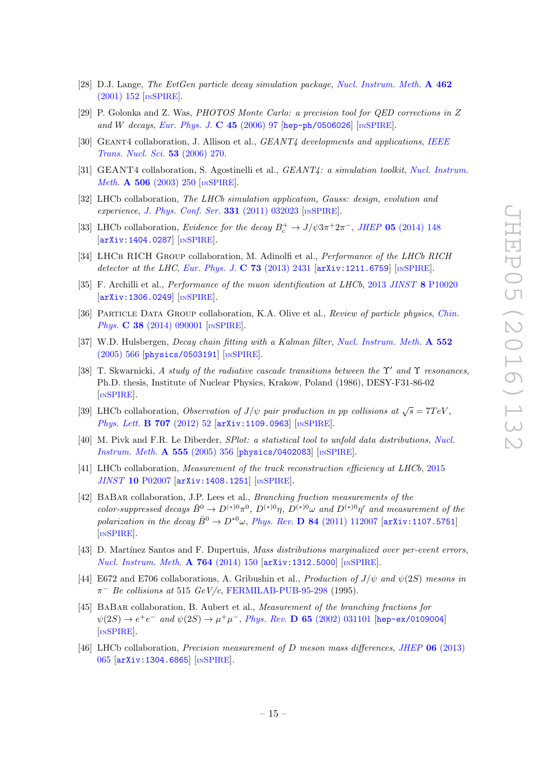- <span id="page-15-0"></span>[28] D.J. Lange, The EvtGen particle decay simulation package, [Nucl. Instrum. Meth.](http://dx.doi.org/10.1016/S0168-9002(01)00089-4) A 462 [\(2001\) 152](http://dx.doi.org/10.1016/S0168-9002(01)00089-4) [IN[SPIRE](http://inspirehep.net/search?p=find+J+"Nucl.Instrum.Meth.,A462,152")].
- <span id="page-15-1"></span>[29] P. Golonka and Z. Was, PHOTOS Monte Carlo: a precision tool for QED corrections in Z and W decays, [Eur. Phys. J.](http://dx.doi.org/10.1140/epjc/s2005-02396-4)  $C$  45 (2006) 97 [[hep-ph/0506026](http://arxiv.org/abs/hep-ph/0506026)] [IN[SPIRE](http://inspirehep.net/search?p=find+EPRINT+hep-ph/0506026)].
- <span id="page-15-2"></span>[30] GEANT4 collaboration, J. Allison et al., *GEANT4 developments and applications*, *[IEEE](http://dx.doi.org/10.1109/TNS.2006.869826)* [Trans. Nucl. Sci.](http://dx.doi.org/10.1109/TNS.2006.869826) 53 (2006) 270.
- <span id="page-15-3"></span>[31] GEANT4 collaboration, S. Agostinelli et al., GEANT4: a simulation toolkit, [Nucl. Instrum.](http://dx.doi.org/10.1016/S0168-9002(03)01368-8) *Meth.* **A 506** [\(2003\) 250](http://dx.doi.org/10.1016/S0168-9002(03)01368-8) [IN[SPIRE](http://inspirehep.net/search?p=find+J+"Nucl.Instrum.Meth.,A506,250")].
- <span id="page-15-4"></span>[32] LHCb collaboration, The LHCb simulation application, Gauss: design, evolution and experience, [J. Phys. Conf. Ser.](http://dx.doi.org/10.1088/1742-6596/331/3/032023) 331 (2011) 032023 [IN[SPIRE](http://inspirehep.net/search?p=find+J+"J.Phys.Conf.Ser.,331,032023")].
- <span id="page-15-5"></span>[33] LHCb collaboration, *Evidence for the decay*  $B_c^+ \rightarrow J/\psi 3\pi^+ 2\pi^-$ , *JHEP* **05** [\(2014\) 148](http://dx.doi.org/10.1007/JHEP05(2014)148) [[arXiv:1404.0287](http://arxiv.org/abs/1404.0287)] [IN[SPIRE](http://inspirehep.net/search?p=find+EPRINT+arXiv:1404.0287)].
- <span id="page-15-6"></span>[34] LHCB RICH GROUP collaboration, M. Adinolfi et al., Performance of the LHCb RICH detector at the LHC, [Eur. Phys. J.](http://dx.doi.org/10.1140/epjc/s10052-013-2431-9) C 73 (2013) 2431  $\ar{xiv:1211.6759}$  [IN[SPIRE](http://inspirehep.net/search?p=find+EPRINT+arXiv:1211.6759)].
- <span id="page-15-7"></span>[35] F. Archilli et al., Performance of the muon identification at LHCb, 2013 JINST 8 [P10020](http://dx.doi.org/10.1088/1748-0221/8/10/P10020) [[arXiv:1306.0249](http://arxiv.org/abs/1306.0249)] [IN[SPIRE](http://inspirehep.net/search?p=find+EPRINT+arXiv:1306.0249)].
- <span id="page-15-8"></span>[36] PARTICLE DATA GROUP collaboration, K.A. Olive et al., Review of particle physics, [Chin.](http://dx.doi.org/10.1088/1674-1137/38/9/090001) Phys. **C 38** [\(2014\) 090001](http://dx.doi.org/10.1088/1674-1137/38/9/090001) [IN[SPIRE](http://inspirehep.net/search?p=find+J+"Chin.Phys.,C38,090001")].
- <span id="page-15-9"></span>[37] W.D. Hulsbergen, Decay chain fitting with a Kalman filter, [Nucl. Instrum. Meth.](http://dx.doi.org/10.1016/j.nima.2005.06.078) A 552 [\(2005\) 566](http://dx.doi.org/10.1016/j.nima.2005.06.078) [[physics/0503191](http://arxiv.org/abs/physics/0503191)] [IN[SPIRE](http://inspirehep.net/search?p=find+EPRINT+physics/0503191)].
- <span id="page-15-10"></span>[38] T. Skwarnicki, A study of the radiative cascade transitions between the Y' and Y resonances, Ph.D. thesis, Institute of Nuclear Physics, Krakow, Poland (1986), DESY-F31-86-02 [IN[SPIRE](http://inspirehep.net/search?p=find+R+DESY-F31-86-02)].
- <span id="page-15-11"></span>[39] LHCb collaboration, Observation of  $J/\psi$  pair production in pp collisions at  $\sqrt{s} = 7TeV$ , [Phys. Lett.](http://dx.doi.org/10.1016/j.physletb.2011.12.015) **B 707** (2012) 52 [[arXiv:1109.0963](http://arxiv.org/abs/1109.0963)] [IN[SPIRE](http://inspirehep.net/search?p=find+EPRINT+arXiv:1109.0963)].
- <span id="page-15-12"></span>[40] M. Pivk and F.R. Le Diberder, SPlot: a statistical tool to unfold data distributions, [Nucl.](http://dx.doi.org/10.1016/j.nima.2005.08.106) [Instrum. Meth.](http://dx.doi.org/10.1016/j.nima.2005.08.106) A 555 (2005) 356 [[physics/0402083](http://arxiv.org/abs/physics/0402083)] [IN[SPIRE](http://inspirehep.net/search?p=find+EPRINT+physics/0402083)].
- <span id="page-15-13"></span>[41] LHCb collaboration, Measurement of the track reconstruction efficiency at LHCb, [2015](http://dx.doi.org/10.1088/1748-0221/10/02/P02007) JINST 10 [P02007](http://dx.doi.org/10.1088/1748-0221/10/02/P02007) [[arXiv:1408.1251](http://arxiv.org/abs/1408.1251)] [IN[SPIRE](http://inspirehep.net/search?p=find+EPRINT+arXiv:1408.1251)].
- <span id="page-15-14"></span>[42] BABAR collaboration, J.P. Lees et al., *Branching fraction measurements of the* color-suppressed decays  $\bar{B}^0 \to D^{(*)0} \pi^0$ ,  $D^{(*)0} \eta$ ,  $D^{(*)0} \omega$  and  $D^{(*)0} \eta'$  and measurement of the polarization in the decay  $\bar{B}^0 \to D^{*0}\omega$ , Phys. Rev. **D 84** [\(2011\) 112007](http://dx.doi.org/10.1103/PhysRevD.84.112007) [[arXiv:1107.5751](http://arxiv.org/abs/1107.5751)] [IN[SPIRE](http://inspirehep.net/search?p=find+EPRINT+arXiv:1107.5751)].
- <span id="page-15-15"></span>[43] D. Martínez Santos and F. Dupertuis, Mass distributions marginalized over per-event errors, [Nucl. Instrum. Meth.](http://dx.doi.org/10.1016/j.nima.2014.06.081) A 764 (2014) 150 [[arXiv:1312.5000](http://arxiv.org/abs/1312.5000)] [IN[SPIRE](http://inspirehep.net/search?p=find+EPRINT+arXiv:1312.5000)].
- <span id="page-15-16"></span>[44] E672 and E706 collaborations, A. Gribushin et al., *Production of J/* $\psi$  *and*  $\psi(2S)$  *mesons in*  $\pi^-$  Be collisions at 515 GeV/c, [FERMILAB-PUB-95-298](http://cds.cern.ch/record/421096) (1995).
- <span id="page-15-17"></span>[45] BaBar collaboration, B. Aubert et al., Measurement of the branching fractions for  $\psi(2S) \to e^+e^-$  and  $\psi(2S) \to \mu^+\mu^-$ , Phys. Rev. **D 65** [\(2002\) 031101](http://dx.doi.org/10.1103/PhysRevD.65.031101) [[hep-ex/0109004](http://arxiv.org/abs/hep-ex/0109004)] [IN[SPIRE](http://inspirehep.net/search?p=find+EPRINT+hep-ex/0109004)].
- <span id="page-15-18"></span>[46] LHCb collaboration, Precision measurement of D meson mass differences, JHEP 06 [\(2013\)](http://dx.doi.org/10.1007/JHEP06(2013)065) [065](http://dx.doi.org/10.1007/JHEP06(2013)065) [[arXiv:1304.6865](http://arxiv.org/abs/1304.6865)] [IN[SPIRE](http://inspirehep.net/search?p=find+EPRINT+arXiv:1304.6865)].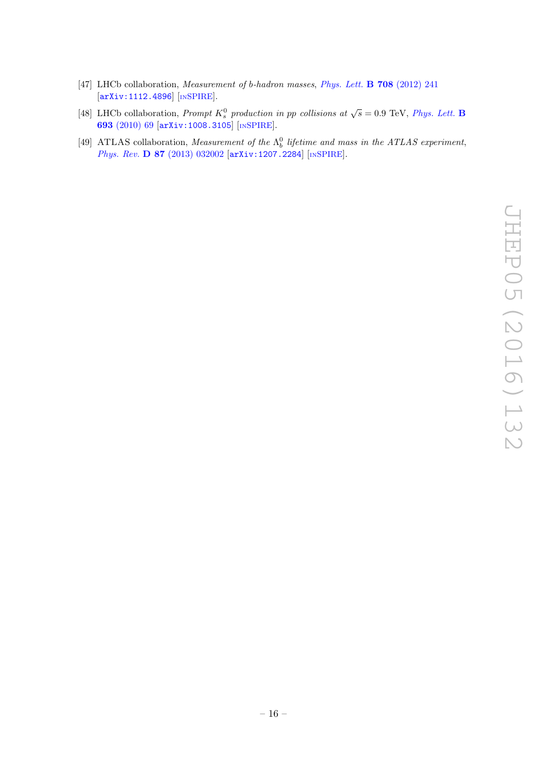- <span id="page-16-0"></span>[47] LHCb collaboration, *Measurement of b-hadron masses, [Phys. Lett.](http://dx.doi.org/10.1016/j.physletb.2012.01.058)* **B 708** (2012) 241 [[arXiv:1112.4896](http://arxiv.org/abs/1112.4896)] [IN[SPIRE](http://inspirehep.net/search?p=find+EPRINT+arXiv:1112.4896)].
- <span id="page-16-1"></span>[48] LHCb collaboration, *Prompt*  $K_s^0$  production in pp collisions at  $\sqrt{s} = 0.9$  TeV, *[Phys. Lett.](http://dx.doi.org/10.1016/j.physletb.2010.08.055)* **B** 693 [\(2010\) 69](http://dx.doi.org/10.1016/j.physletb.2010.08.055) [[arXiv:1008.3105](http://arxiv.org/abs/1008.3105)] [IN[SPIRE](http://inspirehep.net/search?p=find+EPRINT+arXiv:1008.3105)].
- <span id="page-16-2"></span>[49] ATLAS collaboration, Measurement of the  $\Lambda_b^0$  lifetime and mass in the ATLAS experiment, Phys. Rev. D 87 [\(2013\) 032002](http://dx.doi.org/10.1103/PhysRevD.87.032002) [[arXiv:1207.2284](http://arxiv.org/abs/1207.2284)] [IN[SPIRE](http://inspirehep.net/search?p=find+EPRINT+arXiv:1207.2284)].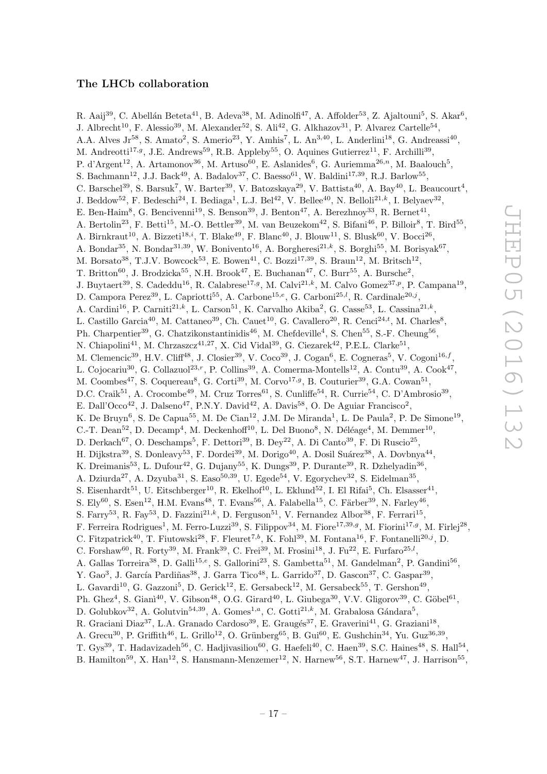# The LHCb collaboration

<span id="page-17-0"></span>R. Aaij $^{39}$ , C. Abellán Beteta $^{41}$ , B. Adeva $^{38}$ , M. Adinolfi $^{47}$ , A. Affolder $^{53}$ , Z. Ajaltouni $^5$ , S. Akar $^6$ , J. Albrecht<sup>10</sup>, F. Alessio<sup>39</sup>, M. Alexander<sup>52</sup>, S. Ali<sup>42</sup>, G. Alkhazov<sup>31</sup>, P. Alvarez Cartelle<sup>54</sup>, A.A. Alves Jr<sup>58</sup>, S. Amato<sup>2</sup>, S. Amerio<sup>23</sup>, Y. Amhis<sup>7</sup>, L. An<sup>3,40</sup>, L. Anderlini<sup>18</sup>, G. Andreassi<sup>40</sup>, M. Andreotti<sup>17,g</sup>, J.E. Andrews<sup>59</sup>, R.B. Appleby<sup>55</sup>, O. Aquines Gutierrez<sup>11</sup>, F. Archilli<sup>39</sup>, P. d'Argent<sup>12</sup>, A. Artamonov<sup>36</sup>, M. Artuso<sup>60</sup>, E. Aslanides<sup>6</sup>, G. Auriemma<sup>26,n</sup>, M. Baalouch<sup>5</sup>, S. Bachmann<sup>12</sup>, J.J. Back<sup>49</sup>, A. Badalov<sup>37</sup>, C. Baesso<sup>61</sup>, W. Baldini<sup>17,39</sup>, R.J. Barlow<sup>55</sup>, C. Barschel<sup>39</sup>, S. Barsuk<sup>7</sup>, W. Barter<sup>39</sup>, V. Batozskaya<sup>29</sup>, V. Battista<sup>40</sup>, A. Bay<sup>40</sup>, L. Beaucourt<sup>4</sup>, J. Beddow<sup>52</sup>, F. Bedeschi<sup>24</sup>, I. Bediaga<sup>1</sup>, L.J. Bel<sup>42</sup>, V. Bellee<sup>40</sup>, N. Belloli<sup>21,k</sup>, I. Belyaev<sup>32</sup>, E. Ben-Haim<sup>8</sup>, G. Bencivenni<sup>19</sup>, S. Benson<sup>39</sup>, J. Benton<sup>47</sup>, A. Berezhnoy<sup>33</sup>, R. Bernet<sup>41</sup>, A. Bertolin<sup>23</sup>, F. Betti<sup>15</sup>, M.-O. Bettler<sup>39</sup>, M. van Beuzekom<sup>42</sup>, S. Bifani<sup>46</sup>, P. Billoir<sup>8</sup>, T. Bird<sup>55</sup>, A. Birnkraut<sup>10</sup>, A. Bizzeti<sup>18,*i*</sup>, T. Blake<sup>49</sup>, F. Blanc<sup>40</sup>, J. Blouw<sup>11</sup>, S. Blusk<sup>60</sup>, V. Bocci<sup>26</sup>, A. Bondar<sup>35</sup>, N. Bondar<sup>31,39</sup>, W. Bonivento<sup>16</sup>, A. Borgheresi<sup>21,k</sup>, S. Borghi<sup>55</sup>, M. Borisyak<sup>67</sup>, M. Borsato<sup>38</sup>, T.J.V. Bowcock<sup>53</sup>, E. Bowen<sup>41</sup>, C. Bozzi<sup>17,39</sup>, S. Braun<sup>12</sup>, M. Britsch<sup>12</sup>, T. Britton<sup>60</sup>, J. Brodzicka<sup>55</sup>, N.H. Brook<sup>47</sup>, E. Buchanan<sup>47</sup>, C. Burr<sup>55</sup>, A. Bursche<sup>2</sup>, J. Buytaert<sup>39</sup>, S. Cadeddu<sup>16</sup>, R. Calabrese<sup>17,9</sup>, M. Calvi<sup>21,k</sup>, M. Calvo Gomez<sup>37,p</sup>, P. Campana<sup>19</sup>, D. Campora Perez<sup>39</sup>, L. Capriotti<sup>55</sup>, A. Carbone<sup>15,e</sup>, G. Carboni<sup>25,*l*</sup>, R. Cardinale<sup>20,*j*</sup>, A. Cardini<sup>16</sup>, P. Carniti<sup>21,k</sup>, L. Carson<sup>51</sup>, K. Carvalho Akiba<sup>2</sup>, G. Casse<sup>53</sup>, L. Cassina<sup>21,k</sup>, L. Castillo Garcia<sup>40</sup>, M. Cattaneo<sup>39</sup>, Ch. Cauet<sup>10</sup>, G. Cavallero<sup>20</sup>, R. Cenci<sup>24,*t*</sup>, M. Charles<sup>8</sup>, Ph. Charpentier<sup>39</sup>, G. Chatzikonstantinidis<sup>46</sup>, M. Chefdeville<sup>4</sup>, S. Chen<sup>55</sup>, S.-F. Cheung<sup>56</sup>, N. Chiapolini<sup>41</sup>, M. Chrzaszcz<sup>41,27</sup>, X. Cid Vidal<sup>39</sup>, G. Ciezarek<sup>42</sup>, P.E.L. Clarke<sup>51</sup>, M. Clemencic<sup>39</sup>, H.V. Cliff<sup>48</sup>, J. Closier<sup>39</sup>, V. Coco<sup>39</sup>, J. Cogan<sup>6</sup>, E. Cogneras<sup>5</sup>, V. Cogoni<sup>16,f</sup>, L. Cojocariu<sup>30</sup>, G. Collazuol<sup>23,r</sup>, P. Collins<sup>39</sup>, A. Comerma-Montells<sup>12</sup>, A. Contu<sup>39</sup>, A. Cook<sup>47</sup>, M. Coombes<sup>47</sup>, S. Coquereau<sup>8</sup>, G. Corti<sup>39</sup>, M. Corvo<sup>17,g</sup>, B. Couturier<sup>39</sup>, G.A. Cowan<sup>51</sup>, D.C. Craik<sup>51</sup>, A. Crocombe<sup>49</sup>, M. Cruz Torres<sup>61</sup>, S. Cunliffe<sup>54</sup>, R. Currie<sup>54</sup>, C. D'Ambrosio<sup>39</sup>, E. Dall'Occo<sup>42</sup>, J. Dalseno<sup>47</sup>, P.N.Y. David<sup>42</sup>, A. Davis<sup>58</sup>, O. De Aguiar Francisco<sup>2</sup>, K. De Bruyn<sup>6</sup>, S. De Capua<sup>55</sup>, M. De Cian<sup>12</sup>, J.M. De Miranda<sup>1</sup>, L. De Paula<sup>2</sup>, P. De Simone<sup>19</sup>, C.-T. Dean<sup>52</sup>, D. Decamp<sup>4</sup>, M. Deckenhoff<sup>10</sup>, L. Del Buono<sup>8</sup>, N. Déléage<sup>4</sup>, M. Demmer<sup>10</sup>, D. Derkach<sup>67</sup>, O. Deschamps<sup>5</sup>, F. Dettori<sup>39</sup>, B. Dey<sup>22</sup>, A. Di Canto<sup>39</sup>, F. Di Ruscio<sup>25</sup>, H. Dijkstra<sup>39</sup>, S. Donleavy<sup>53</sup>, F. Dordei<sup>39</sup>, M. Dorigo<sup>40</sup>, A. Dosil Suárez<sup>38</sup>, A. Dovbnya<sup>44</sup>, K. Dreimanis<sup>53</sup>, L. Dufour<sup>42</sup>, G. Dujany<sup>55</sup>, K. Dungs<sup>39</sup>, P. Durante<sup>39</sup>, R. Dzhelyadin<sup>36</sup>, A. Dziurda<sup>27</sup>, A. Dzyuba<sup>31</sup>, S. Easo<sup>50,39</sup>, U. Egede<sup>54</sup>, V. Egorychev<sup>32</sup>, S. Eidelman<sup>35</sup>, S. Eisenhardt<sup>51</sup>, U. Eitschberger<sup>10</sup>, R. Ekelhof<sup>10</sup>, L. Eklund<sup>52</sup>, I. El Rifai<sup>5</sup>, Ch. Elsasser<sup>41</sup>, S. Ely<sup>60</sup>, S. Esen<sup>12</sup>, H.M. Evans<sup>48</sup>, T. Evans<sup>56</sup>, A. Falabella<sup>15</sup>, C. Färber<sup>39</sup>, N. Farley<sup>46</sup>, S. Farry<sup>53</sup>, R. Fay<sup>53</sup>, D. Fazzini<sup>21,k</sup>, D. Ferguson<sup>51</sup>, V. Fernandez Albor<sup>38</sup>, F. Ferrari<sup>15</sup>, F. Ferreira Rodrigues<sup>1</sup>, M. Ferro-Luzzi<sup>39</sup>, S. Filippov<sup>34</sup>, M. Fiore<sup>17,39,g</sup>, M. Fiorini<sup>17,g</sup>, M. Firlej<sup>28</sup>, C. Fitzpatrick<sup>40</sup>, T. Fiutowski<sup>28</sup>, F. Fleuret<sup>7,b</sup>, K. Fohl<sup>39</sup>, M. Fontana<sup>16</sup>, F. Fontanelli<sup>20,j</sup>, D. C. Forshaw<sup>60</sup>, R. Forty<sup>39</sup>, M. Frank<sup>39</sup>, C. Frei<sup>39</sup>, M. Frosini<sup>18</sup>, J. Fu<sup>22</sup>, E. Furfaro<sup>25,*l*</sup>, A. Gallas Torreira<sup>38</sup>, D. Galli<sup>15,e</sup>, S. Gallorini<sup>23</sup>, S. Gambetta<sup>51</sup>, M. Gandelman<sup>2</sup>, P. Gandini<sup>56</sup>, Y. Gao<sup>3</sup>, J. García Pardiñas<sup>38</sup>, J. Garra Tico<sup>48</sup>, L. Garrido<sup>37</sup>, D. Gascon<sup>37</sup>, C. Gaspar<sup>39</sup>, L. Gavardi<sup>10</sup>, G. Gazzoni<sup>5</sup>, D. Gerick<sup>12</sup>, E. Gersabeck<sup>12</sup>, M. Gersabeck<sup>55</sup>, T. Gershon<sup>49</sup>, Ph. Ghez<sup>4</sup>, S. Giani<sup>40</sup>, V. Gibson<sup>48</sup>, O.G. Girard<sup>40</sup>, L. Giubega<sup>30</sup>, V.V. Gligorov<sup>39</sup>, C. Göbel<sup>61</sup>, D. Golubkov<sup>32</sup>, A. Golutvin<sup>54,39</sup>, A. Gomes<sup>1,a</sup>, C. Gotti<sup>21,k</sup>, M. Grabalosa Gándara<sup>5</sup>, R. Graciani Diaz<sup>37</sup>, L.A. Granado Cardoso<sup>39</sup>, E. Graugés<sup>37</sup>, E. Graverini<sup>41</sup>, G. Graziani<sup>18</sup>, A. Grecu<sup>30</sup>, P. Griffith<sup>46</sup>, L. Grillo<sup>12</sup>, O. Grünberg<sup>65</sup>, B. Gui<sup>60</sup>, E. Gushchin<sup>34</sup>, Yu. Guz<sup>36,39</sup>, T. Gys<sup>39</sup>, T. Hadavizadeh<sup>56</sup>, C. Hadjivasiliou<sup>60</sup>, G. Haefeli<sup>40</sup>, C. Haen<sup>39</sup>, S.C. Haines<sup>48</sup>, S. Hall<sup>54</sup>,

B. Hamilton<sup>59</sup>, X. Han<sup>12</sup>, S. Hansmann-Menzemer<sup>12</sup>, N. Harnew<sup>56</sup>, S.T. Harnew<sup>47</sup>, J. Harrison<sup>55</sup>,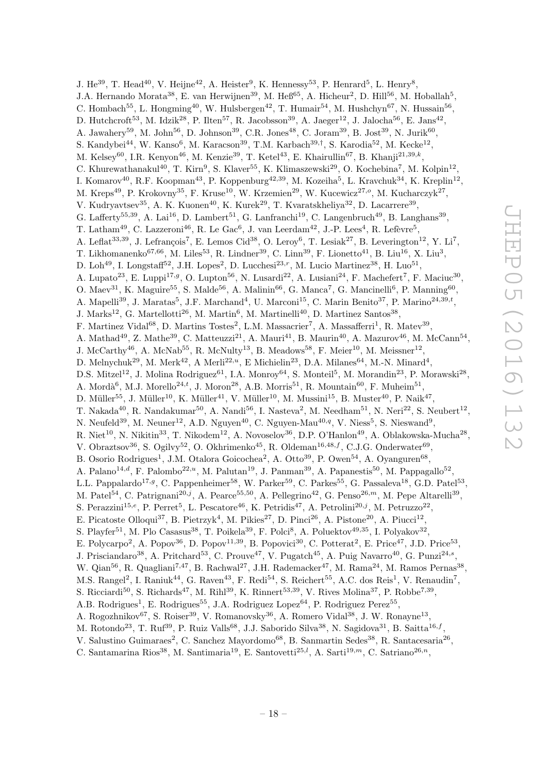J. He<sup>39</sup>, T. Head<sup>40</sup>, V. Heijne<sup>42</sup>, A. Heister<sup>9</sup>, K. Hennessy<sup>53</sup>, P. Henrard<sup>5</sup>, L. Henry<sup>8</sup>, J.A. Hernando Morata<sup>38</sup>, E. van Herwijnen<sup>39</sup>, M. Heß<sup>65</sup>, A. Hicheur<sup>2</sup>, D. Hill<sup>56</sup>, M. Hoballah<sup>5</sup>, C. Hombach<sup>55</sup>, L. Hongming<sup>40</sup>, W. Hulsbergen<sup>42</sup>, T. Humair<sup>54</sup>, M. Hushchyn<sup>67</sup>, N. Hussain<sup>56</sup>, D. Hutchcroft<sup>53</sup>, M. Idzik<sup>28</sup>, P. Ilten<sup>57</sup>, R. Jacobsson<sup>39</sup>, A. Jaeger<sup>12</sup>, J. Jalocha<sup>56</sup>, E. Jans<sup>42</sup>, A. Jawahery<sup>59</sup>, M. John<sup>56</sup>, D. Johnson<sup>39</sup>, C.R. Jones<sup>48</sup>, C. Joram<sup>39</sup>, B. Jost<sup>39</sup>, N. Jurik<sup>60</sup>, S. Kandybei<sup>44</sup>, W. Kanso<sup>6</sup>, M. Karacson<sup>39</sup>, T.M. Karbach<sup>39,†</sup>, S. Karodia<sup>52</sup>, M. Kecke<sup>12</sup>, M. Kelsey<sup>60</sup>, I.R. Kenyon<sup>46</sup>, M. Kenzie<sup>39</sup>, T. Ketel<sup>43</sup>, E. Khairullin<sup>67</sup>, B. Khanji<sup>21,39,k</sup>, C. Khurewathanakul<sup>40</sup>, T. Kirn<sup>9</sup>, S. Klaver<sup>55</sup>, K. Klimaszewski<sup>29</sup>, O. Kochebina<sup>7</sup>, M. Kolpin<sup>12</sup>, I. Komarov<sup>40</sup>, R.F. Koopman<sup>43</sup>, P. Koppenburg<sup>42,39</sup>, M. Kozeiha<sup>5</sup>, L. Kravchuk<sup>34</sup>, K. Kreplin<sup>12</sup>, M. Kreps<sup>49</sup>, P. Krokovny<sup>35</sup>, F. Kruse<sup>10</sup>, W. Krzemien<sup>29</sup>, W. Kucewicz<sup>27,</sup>°, M. Kucharczyk<sup>27</sup>, V. Kudryavtsev<sup>35</sup>, A. K. Kuonen<sup>40</sup>, K. Kurek<sup>29</sup>, T. Kvaratskheliya<sup>32</sup>, D. Lacarrere<sup>39</sup>, G. Lafferty<sup>55,39</sup>, A. Lai<sup>16</sup>, D. Lambert<sup>51</sup>, G. Lanfranchi<sup>19</sup>, C. Langenbruch<sup>49</sup>, B. Langhans<sup>39</sup>, T. Latham<sup>49</sup>, C. Lazzeroni<sup>46</sup>, R. Le Gac<sup>6</sup>, J. van Leerdam<sup>42</sup>, J.-P. Lees<sup>4</sup>, R. Lefèvre<sup>5</sup>, A. Leflat<sup>33,39</sup>, J. Lefrançois<sup>7</sup>, E. Lemos Cid<sup>38</sup>, O. Leroy<sup>6</sup>, T. Lesiak<sup>27</sup>, B. Leverington<sup>12</sup>, Y. Li<sup>7</sup>, T. Likhomanenko $^{67,66}$ , M. Liles<sup>53</sup>, R. Lindner<sup>39</sup>, C. Linn<sup>39</sup>, F. Lionetto<sup>41</sup>, B. Liu<sup>16</sup>, X. Liu<sup>3</sup>, D. Loh<sup>49</sup>, I. Longstaff<sup>52</sup>, J.H. Lopes<sup>2</sup>, D. Lucchesi<sup>23,r</sup>, M. Lucio Martinez<sup>38</sup>, H. Luo<sup>51</sup>, A. Lupato<sup>23</sup>, E. Luppi<sup>17,g</sup>, O. Lupton<sup>56</sup>, N. Lusardi<sup>22</sup>, A. Lusiani<sup>24</sup>, F. Machefert<sup>7</sup>, F. Maciuc<sup>30</sup>, O. Maev<sup>31</sup>, K. Maguire<sup>55</sup>, S. Malde<sup>56</sup>, A. Malinin<sup>66</sup>, G. Manca<sup>7</sup>, G. Mancinelli<sup>6</sup>, P. Manning<sup>60</sup>, A. Mapelli<sup>39</sup>, J. Maratas<sup>5</sup>, J.F. Marchand<sup>4</sup>, U. Marconi<sup>15</sup>, C. Marin Benito<sup>37</sup>, P. Marino<sup>24,39,t</sup>, J. Marks<sup>12</sup>, G. Martellotti<sup>26</sup>, M. Martin<sup>6</sup>, M. Martinelli<sup>40</sup>, D. Martinez Santos<sup>38</sup>, F. Martinez Vidal<sup>68</sup>, D. Martins Tostes<sup>2</sup>, L.M. Massacrier<sup>7</sup>, A. Massafferri<sup>1</sup>, R. Matev<sup>39</sup>, A. Mathad<sup>49</sup>, Z. Mathe<sup>39</sup>, C. Matteuzzi<sup>21</sup>, A. Mauri<sup>41</sup>, B. Maurin<sup>40</sup>, A. Mazurov<sup>46</sup>, M. McCann<sup>54</sup>, J. McCarthy<sup>46</sup>, A. McNab<sup>55</sup>, R. McNulty<sup>13</sup>, B. Meadows<sup>58</sup>, F. Meier<sup>10</sup>, M. Meissner<sup>12</sup>, D. Melnychuk<sup>29</sup>, M. Merk<sup>42</sup>, A Merli<sup>22,*u*</sup>, E Michielin<sup>23</sup>, D.A. Milanes<sup>64</sup>, M.-N. Minard<sup>4</sup>, D.S. Mitzel<sup>12</sup>, J. Molina Rodriguez<sup>61</sup>, I.A. Monroy<sup>64</sup>, S. Monteil<sup>5</sup>, M. Morandin<sup>23</sup>, P. Morawski<sup>28</sup>, A. Mordà<sup>6</sup>, M.J. Morello<sup>24,t</sup>, J. Moron<sup>28</sup>, A.B. Morris<sup>51</sup>, R. Mountain<sup>60</sup>, F. Muheim<sup>51</sup>, D. Müller<sup>55</sup>, J. Müller<sup>10</sup>, K. Müller<sup>41</sup>, V. Müller<sup>10</sup>, M. Mussini<sup>15</sup>, B. Muster<sup>40</sup>, P. Naik<sup>47</sup>, T. Nakada<sup>40</sup>, R. Nandakumar<sup>50</sup>, A. Nandi<sup>56</sup>, I. Nasteva<sup>2</sup>, M. Needham<sup>51</sup>, N. Neri<sup>22</sup>, S. Neubert<sup>12</sup>, N. Neufeld<sup>39</sup>, M. Neuner<sup>12</sup>, A.D. Nguyen<sup>40</sup>, C. Nguyen-Mau<sup>40,q</sup>, V. Niess<sup>5</sup>, S. Nieswand<sup>9</sup>, R. Niet<sup>10</sup>, N. Nikitin<sup>33</sup>, T. Nikodem<sup>12</sup>, A. Novoselov<sup>36</sup>, D.P. O'Hanlon<sup>49</sup>, A. Oblakowska-Mucha<sup>28</sup>, V. Obraztsov<sup>36</sup>, S. Ogilvy<sup>52</sup>, O. Okhrimenko<sup>45</sup>, R. Oldeman<sup>16,48,f</sup>, C.J.G. Onderwater<sup>69</sup>, B. Osorio Rodrigues<sup>1</sup>, J.M. Otalora Goicochea<sup>2</sup>, A. Otto<sup>39</sup>, P. Owen<sup>54</sup>, A. Oyanguren<sup>68</sup>, A. Palano<sup>14,d</sup>, F. Palombo<sup>22,u</sup>, M. Palutan<sup>19</sup>, J. Panman<sup>39</sup>, A. Papanestis<sup>50</sup>, M. Pappagallo<sup>52</sup>, L.L. Pappalardo<sup>17,g</sup>, C. Pappenheimer<sup>58</sup>, W. Parker<sup>59</sup>, C. Parkes<sup>55</sup>, G. Passaleva<sup>18</sup>, G.D. Patel<sup>53</sup>, M. Patel<sup>54</sup>, C. Patrignani<sup>20,j</sup>, A. Pearce<sup>55,50</sup>, A. Pellegrino<sup>42</sup>, G. Penso<sup>26,m</sup>, M. Pepe Altarelli<sup>39</sup>, S. Perazzini<sup>15,e</sup>, P. Perret<sup>5</sup>, L. Pescatore<sup>46</sup>, K. Petridis<sup>47</sup>, A. Petrolini<sup>20,j</sup>, M. Petruzzo<sup>22</sup>, E. Picatoste Olloqui<sup>37</sup>, B. Pietrzyk<sup>4</sup>, M. Pikies<sup>27</sup>, D. Pinci<sup>26</sup>, A. Pistone<sup>20</sup>, A. Piucci<sup>12</sup>, S. Playfer<sup>51</sup>, M. Plo Casasus<sup>38</sup>, T. Poikela<sup>39</sup>, F. Polci<sup>8</sup>, A. Poluektov<sup>49,35</sup>, I. Polyakov<sup>32</sup>, E. Polycarpo<sup>2</sup>, A. Popov<sup>36</sup>, D. Popov<sup>11,39</sup>, B. Popovici<sup>30</sup>, C. Potterat<sup>2</sup>, E. Price<sup>47</sup>, J.D. Price<sup>53</sup>, J. Prisciandaro<sup>38</sup>, A. Pritchard<sup>53</sup>, C. Prouve<sup>47</sup>, V. Pugatch<sup>45</sup>, A. Puig Navarro<sup>40</sup>, G. Punzi<sup>24,s</sup>, W. Qian<sup>56</sup>, R. Quagliani<sup>7,47</sup>, B. Rachwal<sup>27</sup>, J.H. Rademacker<sup>47</sup>, M. Rama<sup>24</sup>, M. Ramos Pernas<sup>38</sup>, M.S. Rangel<sup>2</sup>, I. Raniuk<sup>44</sup>, G. Raven<sup>43</sup>, F. Redi<sup>54</sup>, S. Reichert<sup>55</sup>, A.C. dos Reis<sup>1</sup>, V. Renaudin<sup>7</sup>, S. Ricciardi<sup>50</sup>, S. Richards<sup>47</sup>, M. Rihl<sup>39</sup>, K. Rinnert<sup>53,39</sup>, V. Rives Molina<sup>37</sup>, P. Robbe<sup>7,39</sup>, A.B. Rodrigues<sup>1</sup>, E. Rodrigues<sup>55</sup>, J.A. Rodriguez Lopez<sup>64</sup>, P. Rodriguez Perez<sup>55</sup>, A. Rogozhnikov<sup>67</sup>, S. Roiser<sup>39</sup>, V. Romanovsky<sup>36</sup>, A. Romero Vidal<sup>38</sup>, J. W. Ronayne<sup>13</sup>, M. Rotondo<sup>23</sup>, T. Ruf<sup>39</sup>, P. Ruiz Valls<sup>68</sup>, J.J. Saborido Silva<sup>38</sup>, N. Sagidova<sup>31</sup>, B. Saitta<sup>16, f</sup>, V. Salustino Guimaraes<sup>2</sup>, C. Sanchez Mayordomo<sup>68</sup>, B. Sanmartin Sedes<sup>38</sup>, R. Santacesaria<sup>26</sup>,

C. Santamarina Rios<sup>38</sup>, M. Santimaria<sup>19</sup>, E. Santovetti<sup>25,*l*</sup>, A. Sarti<sup>19,*m*</sup>, C. Satriano<sup>26,*n*</sup>,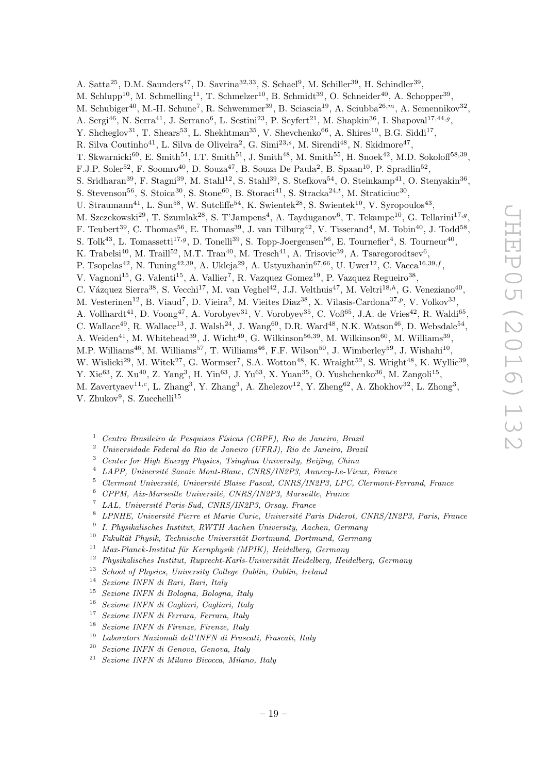A. Satta<sup>25</sup>, D.M. Saunders<sup>47</sup>, D. Savrina<sup>32,33</sup>, S. Schael<sup>9</sup>, M. Schiller<sup>39</sup>, H. Schindler<sup>39</sup>, M. Schlupp<sup>10</sup>, M. Schmelling<sup>11</sup>, T. Schmelzer<sup>10</sup>, B. Schmidt<sup>39</sup>, O. Schneider<sup>40</sup>, A. Schopper<sup>39</sup>, M. Schubiger<sup>40</sup>, M.-H. Schune<sup>7</sup>, R. Schwemmer<sup>39</sup>, B. Sciascia<sup>19</sup>, A. Sciubba<sup>26,m</sup>, A. Semennikov<sup>32</sup>, A. Sergi<sup>46</sup>, N. Serra<sup>41</sup>, J. Serrano<sup>6</sup>, L. Sestini<sup>23</sup>, P. Seyfert<sup>21</sup>, M. Shapkin<sup>36</sup>, I. Shapoval<sup>17,44,9</sup>, Y. Shcheglov<sup>31</sup>, T. Shears<sup>53</sup>, L. Shekhtman<sup>35</sup>, V. Shevchenko<sup>66</sup>, A. Shires<sup>10</sup>, B.G. Siddi<sup>17</sup>, R. Silva Coutinho<sup>41</sup>, L. Silva de Oliveira<sup>2</sup>, G. Simi<sup>23,s</sup>, M. Sirendi<sup>48</sup>, N. Skidmore<sup>47</sup>, T. Skwarnicki<sup>60</sup>, E. Smith<sup>54</sup>, I.T. Smith<sup>51</sup>, J. Smith<sup>48</sup>, M. Smith<sup>55</sup>, H. Snoek<sup>42</sup>, M.D. Sokoloff<sup>58,39</sup>, F.J.P. Soler<sup>52</sup>, F. Soomro<sup>40</sup>, D. Souza<sup>47</sup>, B. Souza De Paula<sup>2</sup>, B. Spaan<sup>10</sup>, P. Spradlin<sup>52</sup>, S. Sridharan<sup>39</sup>, F. Stagni<sup>39</sup>, M. Stahl<sup>12</sup>, S. Stahl<sup>39</sup>, S. Stefkova<sup>54</sup>, O. Steinkamp<sup>41</sup>, O. Stenyakin<sup>36</sup>, S. Stevenson<sup>56</sup>, S. Stoica<sup>30</sup>, S. Stone<sup>60</sup>, B. Storaci<sup>41</sup>, S. Stracka<sup>24,t</sup>, M. Straticiuc<sup>30</sup>, U. Straumann<sup>41</sup>, L. Sun<sup>58</sup>, W. Sutcliffe<sup>54</sup>, K. Swientek<sup>28</sup>, S. Swientek<sup>10</sup>, V. Syropoulos<sup>43</sup>, M. Szczekowski<sup>29</sup>, T. Szumlak<sup>28</sup>, S. T'Jampens<sup>4</sup>, A. Tayduganov<sup>6</sup>, T. Tekampe<sup>10</sup>, G. Tellarini<sup>17,9</sup>, F. Teubert<sup>39</sup>, C. Thomas<sup>56</sup>, E. Thomas<sup>39</sup>, J. van Tilburg<sup>42</sup>, V. Tisserand<sup>4</sup>, M. Tobin<sup>40</sup>, J. Todd<sup>58</sup>, S. Tolk<sup>43</sup>, L. Tomassetti<sup>17,g</sup>, D. Tonelli<sup>39</sup>, S. Topp-Joergensen<sup>56</sup>, E. Tournefier<sup>4</sup>, S. Tourneur<sup>40</sup>, K. Trabelsi<sup>40</sup>, M. Traill<sup>52</sup>, M.T. Tran<sup>40</sup>, M. Tresch<sup>41</sup>, A. Trisovic<sup>39</sup>, A. Tsaregorodtsev<sup>6</sup>, P. Tsopelas<sup>42</sup>, N. Tuning<sup>42,39</sup>, A. Ukleja<sup>29</sup>, A. Ustyuzhanin<sup>67,66</sup>, U. Uwer<sup>12</sup>, C. Vacca<sup>16,39,f</sup>, V. Vagnoni<sup>15</sup>, G. Valenti<sup>15</sup>, A. Vallier<sup>7</sup>, R. Vazquez Gomez<sup>19</sup>, P. Vazquez Regueiro<sup>38</sup>, C. Vázquez Sierra<sup>38</sup>, S. Vecchi<sup>17</sup>, M. van Veghel<sup>42</sup>, J.J. Velthuis<sup>47</sup>, M. Veltri<sup>18,h</sup>, G. Veneziano<sup>40</sup>, M. Vesterinen<sup>12</sup>, B. Viaud<sup>7</sup>, D. Vieira<sup>2</sup>, M. Vieites Diaz<sup>38</sup>, X. Vilasis-Cardona<sup>37,p</sup>, V. Volkov<sup>33</sup>, A. Vollhardt<sup>41</sup>, D. Voong<sup>47</sup>, A. Vorobyev<sup>31</sup>, V. Vorobyev<sup>35</sup>, C. Voß<sup>65</sup>, J.A. de Vries<sup>42</sup>, R. Waldi<sup>65</sup>, C. Wallace<sup>49</sup>, R. Wallace<sup>13</sup>, J. Walsh<sup>24</sup>, J. Wang<sup>60</sup>, D.R. Ward<sup>48</sup>, N.K. Watson<sup>46</sup>, D. Websdale<sup>54</sup>, A. Weiden<sup>41</sup>, M. Whitehead<sup>39</sup>, J. Wicht<sup>49</sup>, G. Wilkinson<sup>56,39</sup>, M. Wilkinson<sup>60</sup>, M. Williams<sup>39</sup>, M.P. Williams<sup>46</sup>, M. Williams<sup>57</sup>, T. Williams<sup>46</sup>, F.F. Wilson<sup>50</sup>, J. Wimberley<sup>59</sup>, J. Wishahi<sup>10</sup>, W. Wislicki<sup>29</sup>, M. Witek<sup>27</sup>, G. Wormser<sup>7</sup>, S.A. Wotton<sup>48</sup>, K. Wraight<sup>52</sup>, S. Wright<sup>48</sup>, K. Wyllie<sup>39</sup>, Y. Xie<sup>63</sup>, Z. Xu<sup>40</sup>, Z. Yang<sup>3</sup>, H. Yin<sup>63</sup>, J. Yu<sup>63</sup>, X. Yuan<sup>35</sup>, O. Yushchenko<sup>36</sup>, M. Zangoli<sup>15</sup>, M. Zavertyaev<sup>11,c</sup>, L. Zhang<sup>3</sup>, Y. Zhang<sup>3</sup>, A. Zhelezov<sup>12</sup>, Y. Zheng<sup>62</sup>, A. Zhokhov<sup>32</sup>, L. Zhong<sup>3</sup>, V. Zhukov $9$ , S. Zucchelli<sup>15</sup>

- $1$  Centro Brasileiro de Pesquisas Físicas (CBPF), Rio de Janeiro, Brazil
- <sup>2</sup> Universidade Federal do Rio de Janeiro (UFRJ), Rio de Janeiro, Brazil
- <sup>3</sup> Center for High Energy Physics, Tsinghua University, Beijing, China
- <sup>4</sup> LAPP, Universit´e Savoie Mont-Blanc, CNRS/IN2P3, Annecy-Le-Vieux, France
- $5$  Clermont Université, Université Blaise Pascal, CNRS/IN2P3, LPC, Clermont-Ferrand, France
- <sup>6</sup> CPPM, Aix-Marseille Universit´e, CNRS/IN2P3, Marseille, France
- $^7$  LAL, Université Paris-Sud, CNRS/IN2P3, Orsay, France
- LPNHE, Université Pierre et Marie Curie, Université Paris Diderot, CNRS/IN2P3, Paris, France
- 9 I. Physikalisches Institut, RWTH Aachen University, Aachen, Germany
- $10$  Fakultät Physik, Technische Universität Dortmund, Dortmund, Germany
- $11$  Max-Planck-Institut für Kernphysik (MPIK), Heidelberg, Germany
- $12$  Physikalisches Institut, Ruprecht-Karls-Universität Heidelberg, Heidelberg, Germany
- <sup>13</sup> School of Physics, University College Dublin, Dublin, Ireland
- <sup>14</sup> Sezione INFN di Bari, Bari, Italy<br><sup>15</sup> Seriane INFN di Belegna, Belegn
- <sup>15</sup> Sezione INFN di Bologna, Bologna, Italy
- <sup>16</sup> Sezione INFN di Cagliari, Cagliari, Italy
- <sup>17</sup> Sezione INFN di Ferrara, Ferrara, Italy
- $18$  Sezione INFN di Firenze, Firenze, Italy
- <sup>19</sup> Laboratori Nazionali dell'INFN di Frascati, Frascati, Italy
- <sup>20</sup> Sezione INFN di Genova, Genova, Italy
- <sup>21</sup> Sezione INFN di Milano Bicocca, Milano, Italy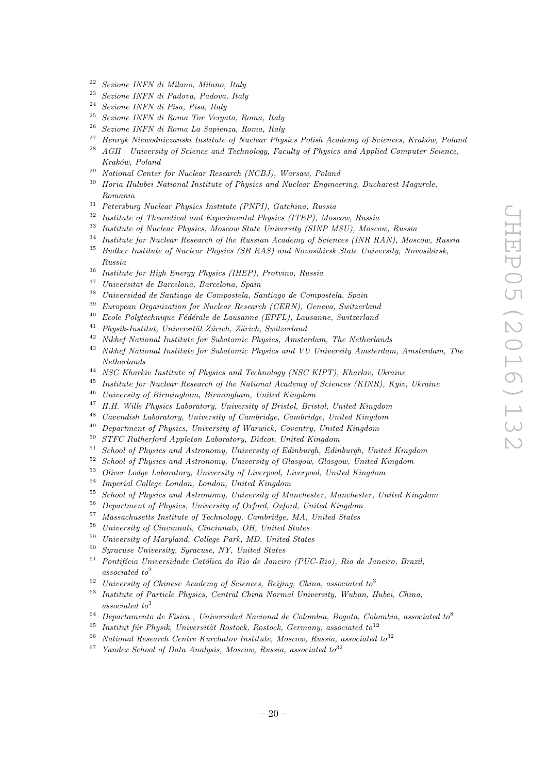- Sezione INFN di Milano, Milano, Italy
- Sezione INFN di Padova, Padova, Italy
- Sezione INFN di Pisa, Pisa, Italy
- Sezione INFN di Roma Tor Vergata, Roma, Italy
- Sezione INFN di Roma La Sapienza, Roma, Italy
- <sup>27</sup> Henryk Niewodniczanski Institute of Nuclear Physics Polish Academy of Sciences, Kraków, Poland<br><sup>28</sup> ACH, University of Science and Technology Faculty of Physics and Armlied Computer Science
- AGH University of Science and Technology, Faculty of Physics and Applied Computer Science, Kraków, Poland
- National Center for Nuclear Research (NCBJ), Warsaw, Poland
- <sup>30</sup> Horia Hulubei National Institute of Physics and Nuclear Engineering, Bucharest-Magurele, Romania
- Petersburg Nuclear Physics Institute (PNPI), Gatchina, Russia
- Institute of Theoretical and Experimental Physics (ITEP), Moscow, Russia
- Institute of Nuclear Physics, Moscow State University (SINP MSU), Moscow, Russia
- <sup>34</sup> Institute for Nuclear Research of the Russian Academy of Sciences (INR RAN), Moscow, Russia Budker Institute of Nuclear Physics (SB RAS) and Novosibirsk State University, Novosibirsk,
- Russia
- Institute for High Energy Physics (IHEP), Protvino, Russia
- Universitat de Barcelona, Barcelona, Spain
- Universidad de Santiago de Compostela, Santiago de Compostela, Spain
- European Organization for Nuclear Research (CERN), Geneva, Switzerland
- $^{40}$  Ecole Polytechnique Fédérale de Lausanne (EPFL), Lausanne, Switzerland
- $^{41}$  Physik-Institut, Universität Zürich, Zürich, Switzerland
- Nikhef National Institute for Subatomic Physics, Amsterdam, The Netherlands
- <sup>43</sup> Nikhef National Institute for Subatomic Physics and VU University Amsterdam, Amsterdam, The Netherlands
- NSC Kharkiv Institute of Physics and Technology (NSC KIPT), Kharkiv, Ukraine
- <sup>45</sup> Institute for Nuclear Research of the National Academy of Sciences (KINR), Kyiv, Ukraine
- University of Birmingham, Birmingham, United Kingdom
- H.H. Wills Physics Laboratory, University of Bristol, Bristol, United Kingdom
- <sup>48</sup> Cavendish Laboratory, University of Cambridge, Cambridge, United Kingdom
- <sup>49</sup> Department of Physics, University of Warwick, Coventry, United Kingdom<br> $^{50}$  STEC Batherford Appleton, Lehentryn, Didaet, United Kingdom
- STFC Rutherford Appleton Laboratory, Didcot, United Kingdom<br> $51$  School of Physics and Actronomy, University of Ediphysic Edip
- School of Physics and Astronomy, University of Edinburgh, Edinburgh, United Kingdom
- School of Physics and Astronomy, University of Glasgow, Glasgow, United Kingdom
- Oliver Lodge Laboratory, University of Liverpool, Liverpool, United Kingdom
- Imperial College London, London, United Kingdom
- School of Physics and Astronomy, University of Manchester, Manchester, United Kingdom
- Department of Physics, University of Oxford, Oxford, United Kingdom
- Massachusetts Institute of Technology, Cambridge, MA, United States
- University of Cincinnati, Cincinnati, OH, United States
- University of Maryland, College Park, MD, United States
- Syracuse University, Syracuse, NY, United States
- Pontifícia Universidade Católica do Rio de Janeiro (PUC-Rio), Rio de Janeiro, Brazil, associated to<sup>2</sup>
- <sup>62</sup> University of Chinese Academy of Sciences, Beijing, China, associated to<sup>3</sup>
- Institute of Particle Physics, Central China Normal University, Wuhan, Hubei, China, associated to<sup>3</sup>
- <sup>64</sup> Departamento de Fisica, Universidad Nacional de Colombia, Bogota, Colombia, associated to<sup>8</sup>
- Institut für Physik, Universität Rostock, Rostock, Germany, associated to<sup>12</sup>
- National Research Centre Kurchatov Institute, Moscow, Russia, associated to<sup>32</sup>
- Yandex School of Data Analysis, Moscow, Russia, associated to  $32$